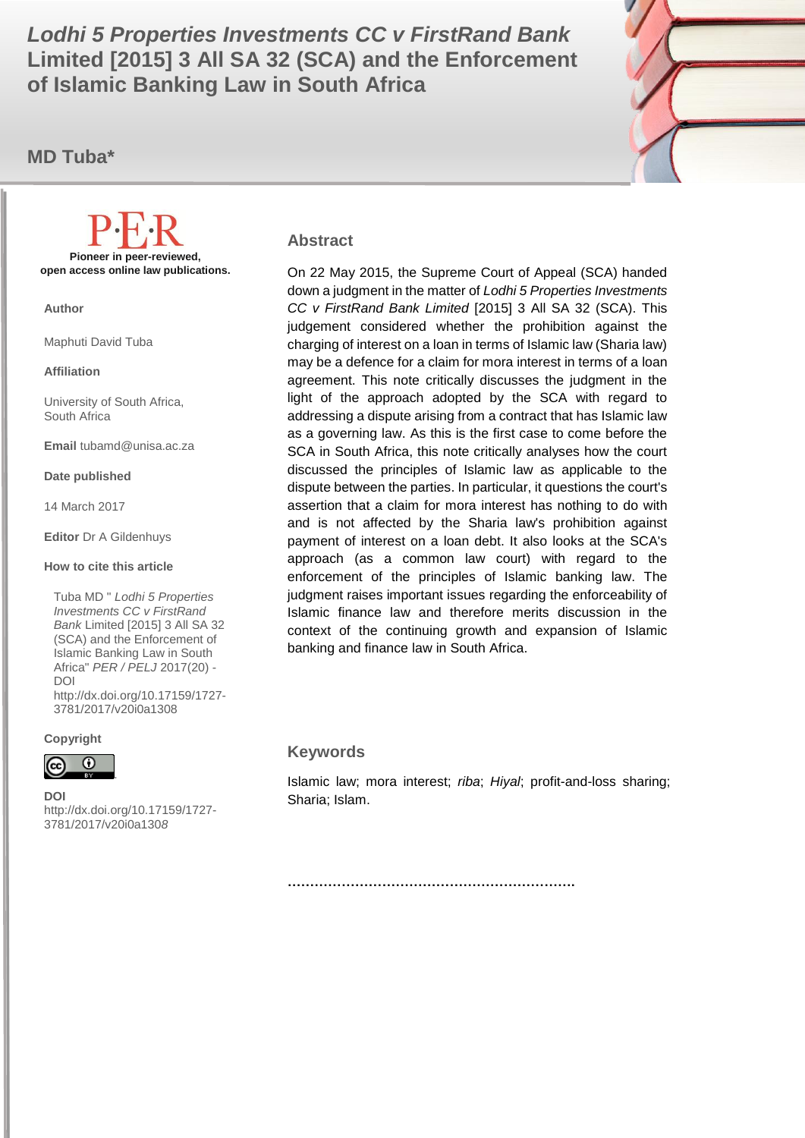Limited [2015] 3 All SA 32 (SCA) and the Enforcement *Lodhi 5 Properties Investments CC v FirstRand Bank*  **of Islamic Banking Law in South Africa**

**MD Tuba\***



#### **Abstract**

On 22 May 2015, the Supreme Court of Appeal (SCA) handed down a judgment in the matter of *Lodhi 5 Properties Investments CC v FirstRand Bank Limited* [2015] 3 All SA 32 (SCA). This judgement considered whether the prohibition against the charging of interest on a loan in terms of Islamic law (Sharia law) may be a defence for a claim for mora interest in terms of a loan agreement. This note critically discusses the judgment in the light of the approach adopted by the SCA with regard to addressing a dispute arising from a contract that has Islamic law as a governing law. As this is the first case to come before the SCA in South Africa, this note critically analyses how the court discussed the principles of Islamic law as applicable to the dispute between the parties. In particular, it questions the court's assertion that a claim for mora interest has nothing to do with and is not affected by the Sharia law's prohibition against payment of interest on a loan debt. It also looks at the SCA's approach (as a common law court) with regard to the enforcement of the principles of Islamic banking law. The judgment raises important issues regarding the enforceability of Islamic finance law and therefore merits discussion in the context of the continuing growth and expansion of Islamic banking and finance law in South Africa.

#### **Keywords**

Islamic law; mora interest; *riba*; *Hiyal*; profit-and-loss sharing; Sharia; Islam.

**Pioneer in peer-reviewed, open access online law publications.**

**Author**

Maphuti David Tuba

**Affiliation**

University of South Africa, South Africa

**Email** tubamd@unisa.ac.za

**Date published**

14 March 2017

**Editor** Dr A Gildenhuys

**How to cite this article** 

Tuba MD " *Lodhi 5 Properties Investments CC v FirstRand Bank* Limited [2015] 3 All SA 32 (SCA) and the Enforcement of Islamic Banking Law in South Africa" *PER / PELJ* 2017(20) - DOI http://dx.doi.org/10.17159/1727- 3781/2017/v20i0a[1308](http://journals.assaf.org.za/index.php/per/editor/submission/1160) 

**Copyright**



**DOI**  http://dx.doi.org/10.17159/1727- 3781/2017/v20i0a[130](http://journals.assaf.org.za/index.php/per/editor/submission/1160)*8*

**……………………………………………………….**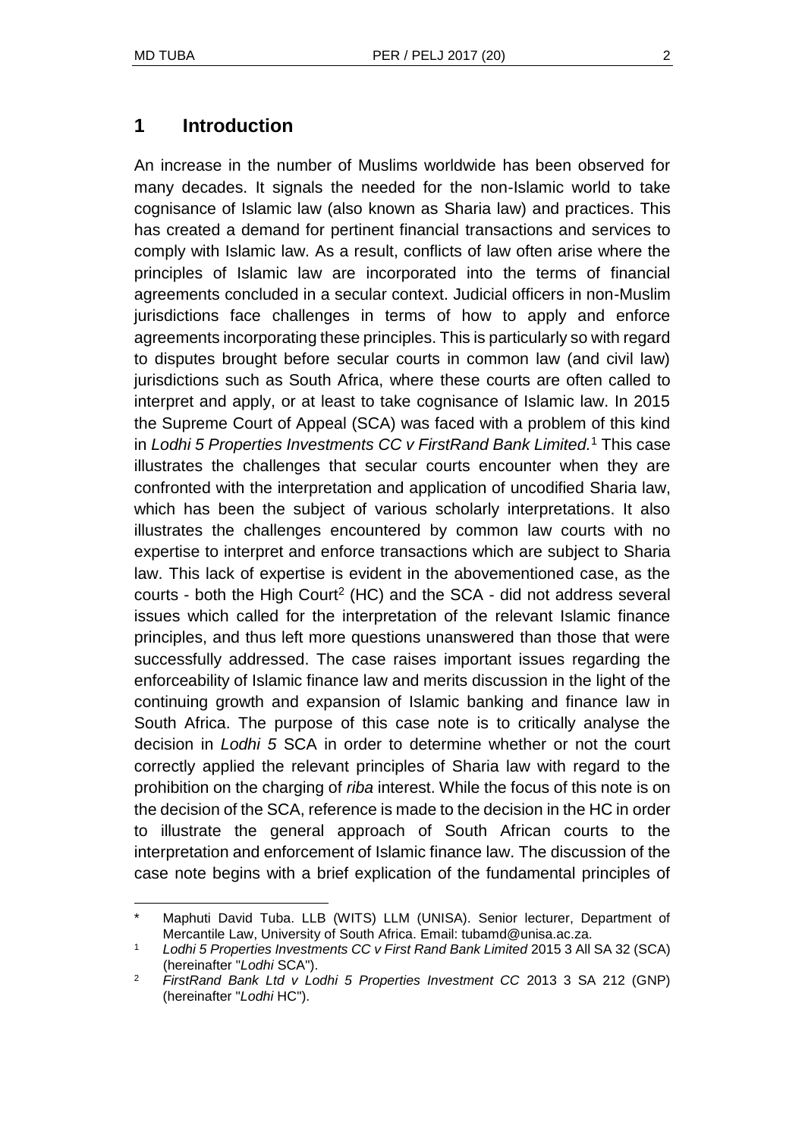l

### **1 Introduction**

An increase in the number of Muslims worldwide has been observed for many decades. It signals the needed for the non-Islamic world to take cognisance of Islamic law (also known as Sharia law) and practices. This has created a demand for pertinent financial transactions and services to comply with Islamic law. As a result, conflicts of law often arise where the principles of Islamic law are incorporated into the terms of financial agreements concluded in a secular context. Judicial officers in non-Muslim jurisdictions face challenges in terms of how to apply and enforce agreements incorporating these principles. This is particularly so with regard to disputes brought before secular courts in common law (and civil law) jurisdictions such as South Africa, where these courts are often called to interpret and apply, or at least to take cognisance of Islamic law. In 2015 the Supreme Court of Appeal (SCA) was faced with a problem of this kind in *Lodhi 5 Properties Investments CC v FirstRand Bank Limited.*<sup>1</sup> This case illustrates the challenges that secular courts encounter when they are confronted with the interpretation and application of uncodified Sharia law, which has been the subject of various scholarly interpretations. It also illustrates the challenges encountered by common law courts with no expertise to interpret and enforce transactions which are subject to Sharia law. This lack of expertise is evident in the abovementioned case, as the courts - both the High Court<sup>2</sup> (HC) and the SCA - did not address several issues which called for the interpretation of the relevant Islamic finance principles, and thus left more questions unanswered than those that were successfully addressed. The case raises important issues regarding the enforceability of Islamic finance law and merits discussion in the light of the continuing growth and expansion of Islamic banking and finance law in South Africa. The purpose of this case note is to critically analyse the decision in *Lodhi 5* SCA in order to determine whether or not the court correctly applied the relevant principles of Sharia law with regard to the prohibition on the charging of *riba* interest. While the focus of this note is on the decision of the SCA, reference is made to the decision in the HC in order to illustrate the general approach of South African courts to the interpretation and enforcement of Islamic finance law. The discussion of the case note begins with a brief explication of the fundamental principles of

Maphuti David Tuba. LLB (WITS) LLM (UNISA). Senior lecturer, Department of Mercantile Law, University of South Africa. Email: tubamd@unisa.ac.za.

<sup>1</sup> *Lodhi 5 Properties Investments CC v First Rand Bank Limited* 2015 3 All SA 32 (SCA) (hereinafter "*Lodhi* SCA").

<sup>2</sup> *FirstRand Bank Ltd v Lodhi 5 Properties Investment CC* 2013 3 SA 212 (GNP) (hereinafter "*Lodhi* HC").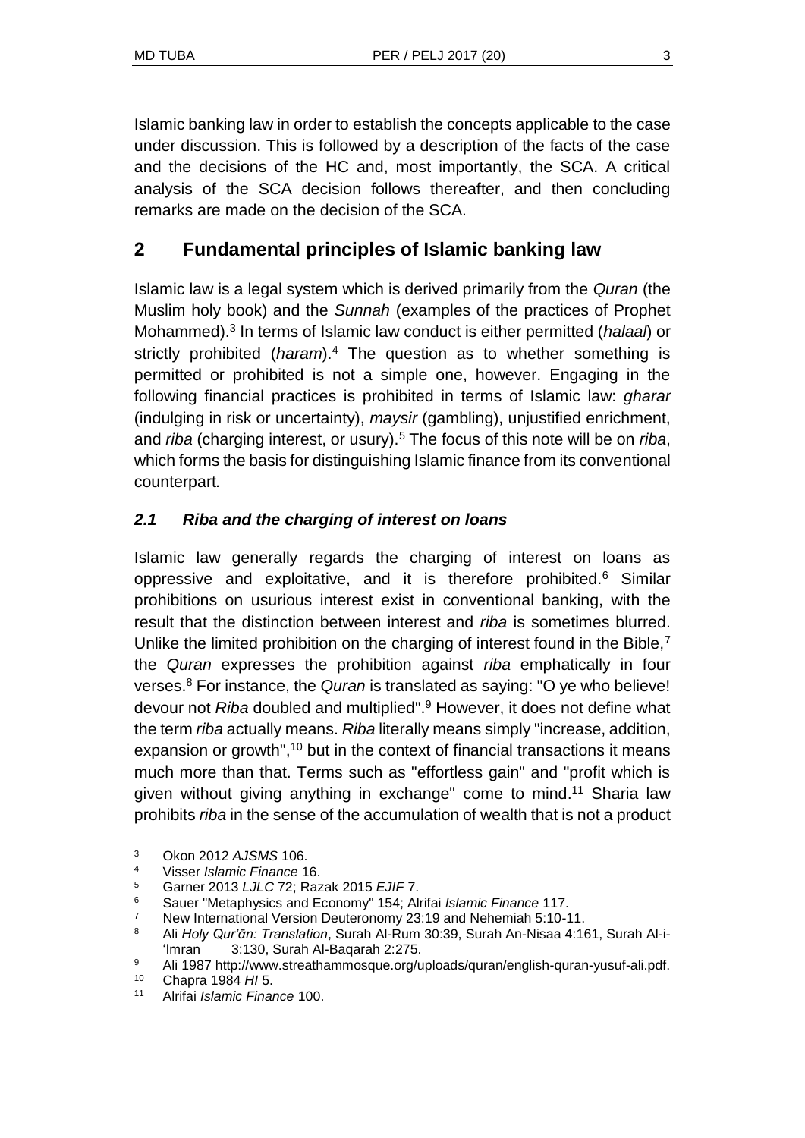Islamic banking law in order to establish the concepts applicable to the case under discussion. This is followed by a description of the facts of the case and the decisions of the HC and, most importantly, the SCA. A critical analysis of the SCA decision follows thereafter, and then concluding remarks are made on the decision of the SCA.

# **2 Fundamental principles of Islamic banking law**

Islamic law is a legal system which is derived primarily from the *Quran* (the Muslim holy book) and the *Sunnah* (examples of the practices of Prophet Mohammed).<sup>3</sup> In terms of Islamic law conduct is either permitted (*halaal*) or strictly prohibited (*haram*).<sup>4</sup> The question as to whether something is permitted or prohibited is not a simple one, however. Engaging in the following financial practices is prohibited in terms of Islamic law: *gharar*  (indulging in risk or uncertainty), *maysir* (gambling), unjustified enrichment, and *riba* (charging interest, or usury).<sup>5</sup> The focus of this note will be on *riba*, which forms the basis for distinguishing Islamic finance from its conventional counterpart*.*

## *2.1 Riba and the charging of interest on loans*

Islamic law generally regards the charging of interest on loans as oppressive and exploitative, and it is therefore prohibited.<sup>6</sup> Similar prohibitions on usurious interest exist in conventional banking, with the result that the distinction between interest and *riba* is sometimes blurred. Unlike the limited prohibition on the charging of interest found in the Bible,<sup>7</sup> the *Quran* expresses the prohibition against *riba* emphatically in four verses.<sup>8</sup> For instance, the *Quran* is translated as saying: "O ye who believe! devour not *Riba* doubled and multiplied".<sup>9</sup> However, it does not define what the term *riba* actually means. *Riba* literally means simply "increase, addition, expansion or growth",<sup>10</sup> but in the context of financial transactions it means much more than that. Terms such as "effortless gain" and "profit which is given without giving anything in exchange" come to mind.<sup>11</sup> Sharia law prohibits *riba* in the sense of the accumulation of wealth that is not a product

<sup>3</sup> Okon 2012 *AJSMS* 106.

<sup>4</sup> Visser *Islamic Finance* 16.

<sup>5</sup> Garner 2013 *LJLC* 72; Razak 2015 *EJIF* 7.

<sup>6</sup> Sauer "Metaphysics and Economy" 154; Alrifai *Islamic Finance* 117.

<sup>&</sup>lt;sup>7</sup> New International Version Deuteronomy 23:19 and Nehemiah 5:10-11.

<sup>8</sup> Ali *Holy Qur'ᾱn: Translation*, Surah Al-Rum 30:39, Surah An-Nisaa 4:161, Surah Al-i- 'Imran 3:130, Surah Al-Baqarah 2:275.

<sup>9</sup> Ali 1987 http://www.streathammosque.org/uploads/quran/english-quran-yusuf-ali.pdf.

<sup>10</sup> Chapra 1984 *HI* 5.

<sup>11</sup> Alrifai *Islamic Finance* 100.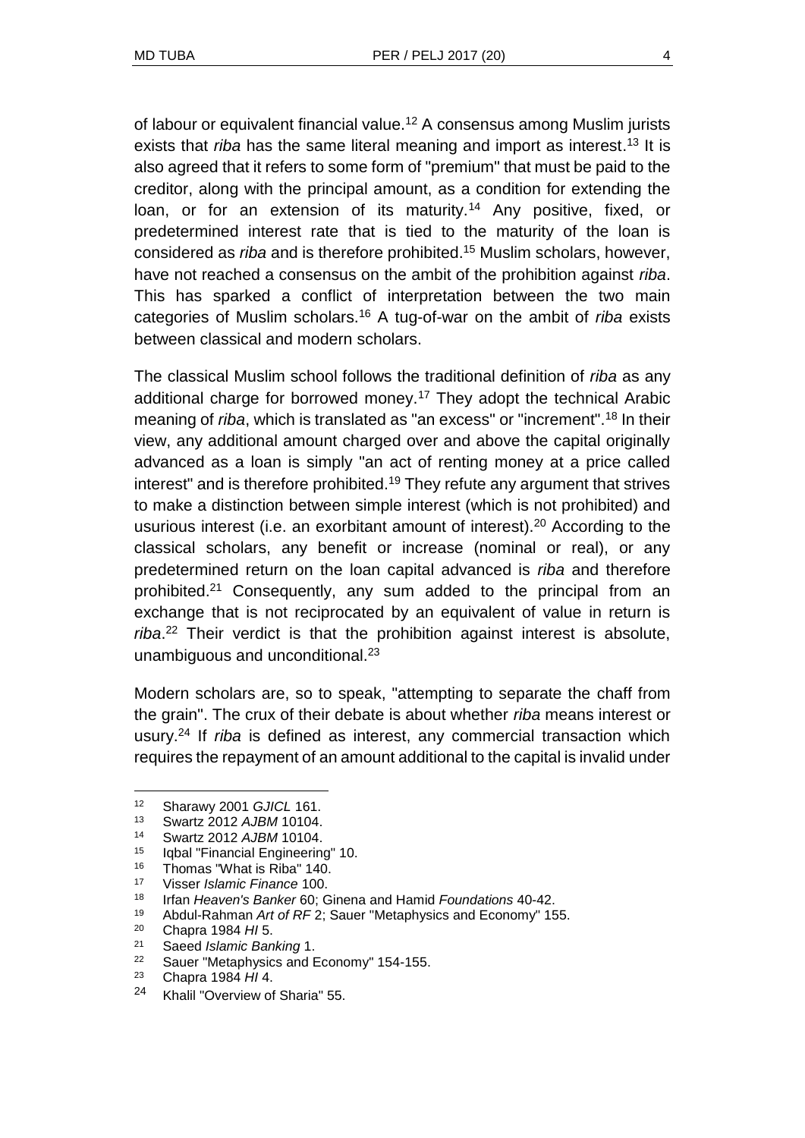of labour or equivalent financial value.<sup>12</sup> A consensus among Muslim jurists exists that *riba* has the same literal meaning and import as interest.<sup>13</sup> It is also agreed that it refers to some form of "premium" that must be paid to the creditor, along with the principal amount, as a condition for extending the loan, or for an extension of its maturity.<sup>14</sup> Any positive, fixed, or predetermined interest rate that is tied to the maturity of the loan is considered as *riba* and is therefore prohibited.<sup>15</sup> Muslim scholars, however, have not reached a consensus on the ambit of the prohibition against *riba*. This has sparked a conflict of interpretation between the two main categories of Muslim scholars.<sup>16</sup> A tug-of-war on the ambit of *riba* exists between classical and modern scholars.

The classical Muslim school follows the traditional definition of *riba* as any additional charge for borrowed money.<sup>17</sup> They adopt the technical Arabic meaning of *riba*, which is translated as "an excess" or "increment".<sup>18</sup> In their view, any additional amount charged over and above the capital originally advanced as a loan is simply "an act of renting money at a price called interest" and is therefore prohibited.<sup>19</sup> They refute any argument that strives to make a distinction between simple interest (which is not prohibited) and usurious interest (i.e. an exorbitant amount of interest).<sup>20</sup> According to the classical scholars, any benefit or increase (nominal or real), or any predetermined return on the loan capital advanced is *riba* and therefore prohibited.<sup>21</sup> Consequently, any sum added to the principal from an exchange that is not reciprocated by an equivalent of value in return is *riba*. <sup>22</sup> Their verdict is that the prohibition against interest is absolute, unambiguous and unconditional.<sup>23</sup>

Modern scholars are, so to speak, "attempting to separate the chaff from the grain". The crux of their debate is about whether *riba* means interest or usury.<sup>24</sup> If *riba* is defined as interest, any commercial transaction which requires the repayment of an amount additional to the capital is invalid under

<sup>12</sup> Sharawy 2001 *GJICL* 161.

<sup>13</sup> Swartz 2012 *AJBM* 10104.

<sup>14</sup> Swartz 2012 *AJBM* 10104.

<sup>15</sup> Iqbal "Financial Engineering" 10.

<sup>16</sup> Thomas "What is Riba" 140.

<sup>17</sup> Visser *Islamic Finance* 100.

<sup>18</sup> Irfan *Heaven's Banker* 60; Ginena and Hamid *Foundations* 40-42.

<sup>19</sup> Abdul-Rahman *Art of RF* 2; Sauer "Metaphysics and Economy" 155.<br><sup>20</sup> Chapta 1984 HLE

<sup>20</sup> Chapra 1984 *HI* 5.

<sup>21</sup> Saeed *Islamic Banking* 1.

<sup>&</sup>lt;sup>22</sup> Sauer "Metaphysics and Economy" 154-155.<br><sup>23</sup> Chapta 1984 HIA

<sup>23</sup> Chapra 1984 *HI* 4.

<sup>24</sup> Khalil "Overview of Sharia" 55.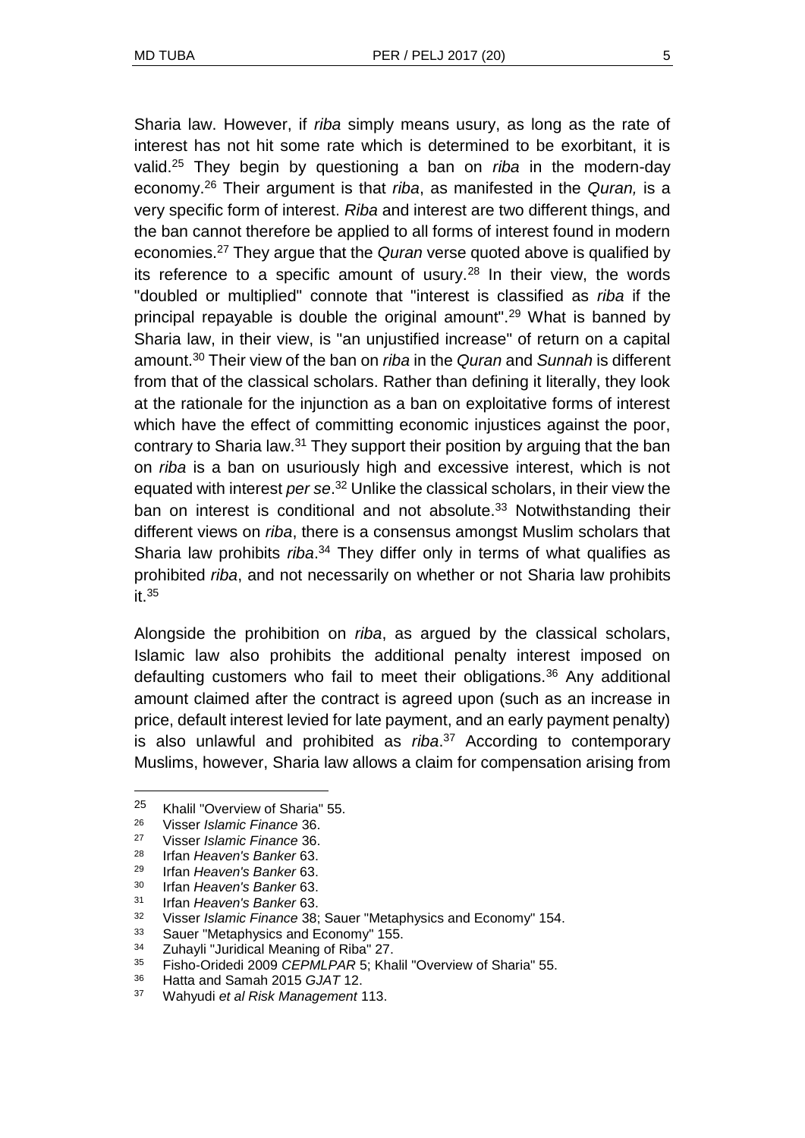Sharia law. However, if *riba* simply means usury, as long as the rate of interest has not hit some rate which is determined to be exorbitant, it is valid.<sup>25</sup> They begin by questioning a ban on *riba* in the modern-day economy.<sup>26</sup> Their argument is that *riba*, as manifested in the *Quran,* is a very specific form of interest. *Riba* and interest are two different things, and the ban cannot therefore be applied to all forms of interest found in modern economies.<sup>27</sup> They argue that the *Quran* verse quoted above is qualified by its reference to a specific amount of usury.<sup>28</sup> In their view, the words "doubled or multiplied" connote that "interest is classified as *riba* if the principal repayable is double the original amount".<sup>29</sup> What is banned by Sharia law, in their view, is "an unjustified increase" of return on a capital amount.<sup>30</sup> Their view of the ban on *riba* in the *Quran* and *Sunnah* is different from that of the classical scholars. Rather than defining it literally, they look at the rationale for the injunction as a ban on exploitative forms of interest which have the effect of committing economic injustices against the poor, contrary to Sharia law.<sup>31</sup> They support their position by arguing that the ban on *riba* is a ban on usuriously high and excessive interest, which is not equated with interest *per se*. <sup>32</sup> Unlike the classical scholars, in their view the ban on interest is conditional and not absolute.<sup>33</sup> Notwithstanding their different views on *riba*, there is a consensus amongst Muslim scholars that Sharia law prohibits *riba*. <sup>34</sup> They differ only in terms of what qualifies as prohibited *riba*, and not necessarily on whether or not Sharia law prohibits  $it.35$ 

Alongside the prohibition on *riba*, as argued by the classical scholars, Islamic law also prohibits the additional penalty interest imposed on defaulting customers who fail to meet their obligations.<sup>36</sup> Any additional amount claimed after the contract is agreed upon (such as an increase in price, default interest levied for late payment, and an early payment penalty) is also unlawful and prohibited as *riba*. <sup>37</sup> According to contemporary Muslims, however, Sharia law allows a claim for compensation arising from

<sup>25</sup> Khalil "Overview of Sharia" 55.

<sup>26</sup> Visser *Islamic Finance* 36.

<sup>27</sup> Visser *Islamic Finance* 36.

<sup>28</sup> Irfan *Heaven's Banker* 63.

<sup>29</sup> Irfan *Heaven's Banker* 63.

<sup>30</sup> Irfan *Heaven's Banker* 63.

<sup>31</sup> Irfan *Heaven's Banker* 63.

<sup>32</sup> Visser *Islamic Finance* 38; Sauer "Metaphysics and Economy" 154.

<sup>33</sup> Sauer "Metaphysics and Economy" 155.

<sup>&</sup>lt;sup>34</sup> Zuhayli "Juridical Meaning of Riba" 27.

<sup>35</sup> Fisho-Oridedi 2009 *CEPMLPAR* 5; Khalil "Overview of Sharia" 55.

<sup>36</sup> Hatta and Samah 2015 *GJAT* 12.

<sup>37</sup> Wahyudi *et al Risk Management* 113.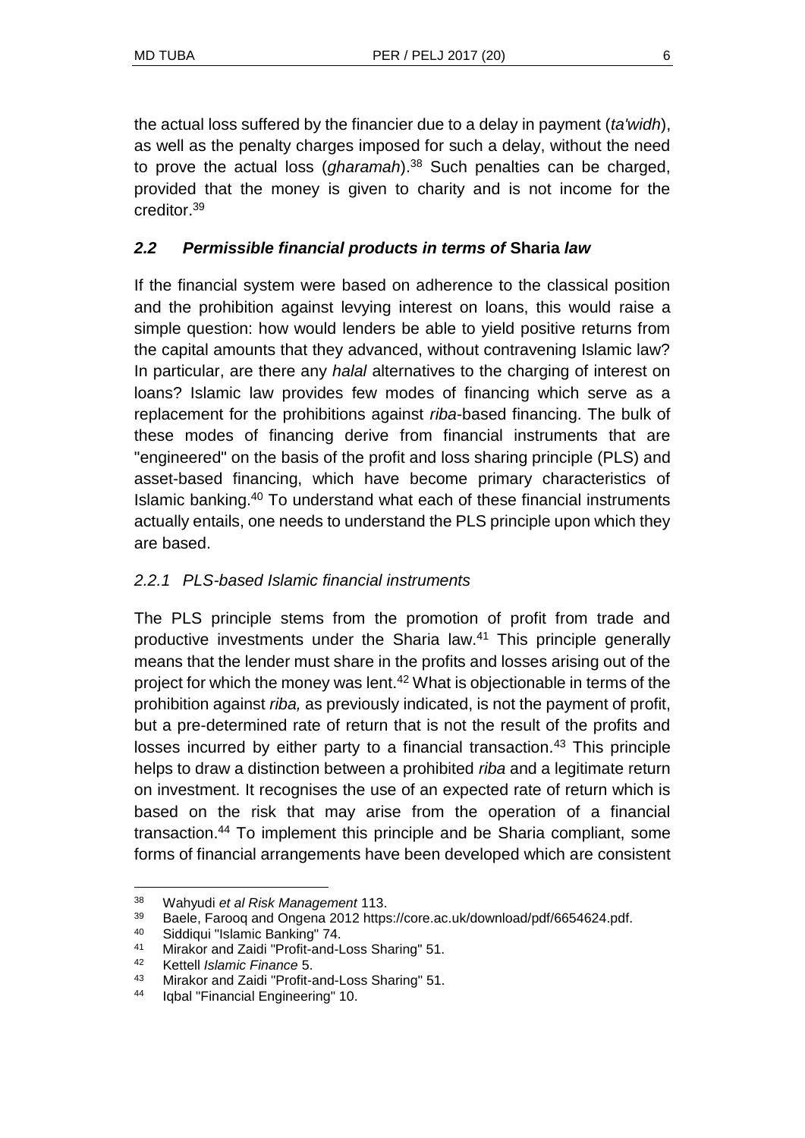the actual loss suffered by the financier due to a delay in payment (*ta'widh*), as well as the penalty charges imposed for such a delay, without the need to prove the actual loss (*gharamah*).<sup>38</sup> Such penalties can be charged, provided that the money is given to charity and is not income for the creditor.<sup>39</sup>

## *2.2 Permissible financial products in terms of* **Sharia** *law*

If the financial system were based on adherence to the classical position and the prohibition against levying interest on loans, this would raise a simple question: how would lenders be able to yield positive returns from the capital amounts that they advanced, without contravening Islamic law? In particular, are there any *halal* alternatives to the charging of interest on loans? Islamic law provides few modes of financing which serve as a replacement for the prohibitions against *riba*-based financing. The bulk of these modes of financing derive from financial instruments that are "engineered" on the basis of the profit and loss sharing principle (PLS) and asset-based financing, which have become primary characteristics of Islamic banking.<sup>40</sup> To understand what each of these financial instruments actually entails, one needs to understand the PLS principle upon which they are based.

### *2.2.1 PLS-based Islamic financial instruments*

The PLS principle stems from the promotion of profit from trade and productive investments under the Sharia law.<sup>41</sup> This principle generally means that the lender must share in the profits and losses arising out of the project for which the money was lent.<sup>42</sup> What is objectionable in terms of the prohibition against *riba,* as previously indicated, is not the payment of profit, but a pre-determined rate of return that is not the result of the profits and losses incurred by either party to a financial transaction.<sup>43</sup> This principle helps to draw a distinction between a prohibited *riba* and a legitimate return on investment. It recognises the use of an expected rate of return which is based on the risk that may arise from the operation of a financial transaction.<sup>44</sup> To implement this principle and be Sharia compliant, some forms of financial arrangements have been developed which are consistent

<sup>38</sup> Wahyudi *et al Risk Management* 113.

<sup>39</sup> Baele, Farooq and Ongena 2012 https://core.ac.uk/download/pdf/6654624.pdf.

<sup>40</sup> Siddiqui "Islamic Banking" 74.

<sup>41</sup> Mirakor and Zaidi "Profit-and-Loss Sharing" 51.

<sup>42</sup> Kettell *Islamic Finance* 5.

<sup>43</sup> Mirakor and Zaidi "Profit-and-Loss Sharing" 51.

<sup>44</sup> Iqbal "Financial Engineering" 10.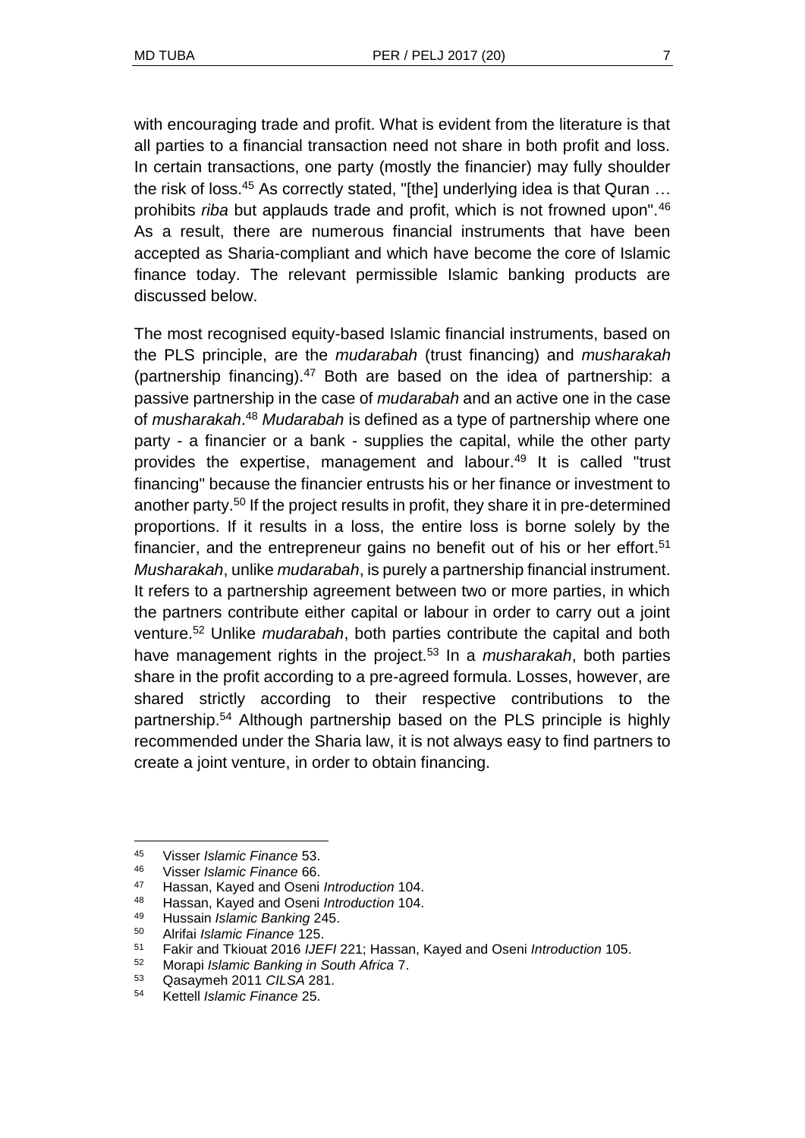with encouraging trade and profit. What is evident from the literature is that all parties to a financial transaction need not share in both profit and loss. In certain transactions, one party (mostly the financier) may fully shoulder the risk of loss.<sup>45</sup> As correctly stated, "[the] underlying idea is that Quran ... prohibits *riba* but applauds trade and profit, which is not frowned upon".<sup>46</sup> As a result, there are numerous financial instruments that have been accepted as Sharia-compliant and which have become the core of Islamic finance today. The relevant permissible Islamic banking products are discussed below.

The most recognised equity-based Islamic financial instruments, based on the PLS principle, are the *mudarabah* (trust financing) and *musharakah*  (partnership financing).<sup>47</sup> Both are based on the idea of partnership: a passive partnership in the case of *mudarabah* and an active one in the case of *musharakah*. <sup>48</sup> *Mudarabah* is defined as a type of partnership where one party - a financier or a bank - supplies the capital, while the other party provides the expertise, management and labour.<sup>49</sup> It is called "trust financing" because the financier entrusts his or her finance or investment to another party.<sup>50</sup> If the project results in profit, they share it in pre-determined proportions. If it results in a loss, the entire loss is borne solely by the financier, and the entrepreneur gains no benefit out of his or her effort.<sup>51</sup> *Musharakah*, unlike *mudarabah*, is purely a partnership financial instrument. It refers to a partnership agreement between two or more parties, in which the partners contribute either capital or labour in order to carry out a joint venture.<sup>52</sup> Unlike *mudarabah*, both parties contribute the capital and both have management rights in the project.<sup>53</sup> In a *musharakah*, both parties share in the profit according to a pre-agreed formula. Losses, however, are shared strictly according to their respective contributions to the partnership.<sup>54</sup> Although partnership based on the PLS principle is highly recommended under the Sharia law, it is not always easy to find partners to create a joint venture, in order to obtain financing.

<sup>45</sup> Visser *Islamic Finance* 53.

<sup>46</sup> Visser *Islamic Finance* 66.

<sup>47</sup> Hassan, Kayed and Oseni *Introduction* 104.

<sup>48</sup> Hassan, Kayed and Oseni *Introduction* 104.

<sup>49</sup> Hussain *Islamic Banking* 245.

<sup>50</sup> Alrifai *Islamic Finance* 125.

<sup>51</sup> Fakir and Tkiouat 2016 *IJEFI* 221; Hassan, Kayed and Oseni *Introduction* 105.

<sup>52</sup> Morapi *Islamic Banking in South Africa* 7.

<sup>53</sup> Qasaymeh 2011 *CILSA* 281.

<sup>54</sup> Kettell *Islamic Finance* 25.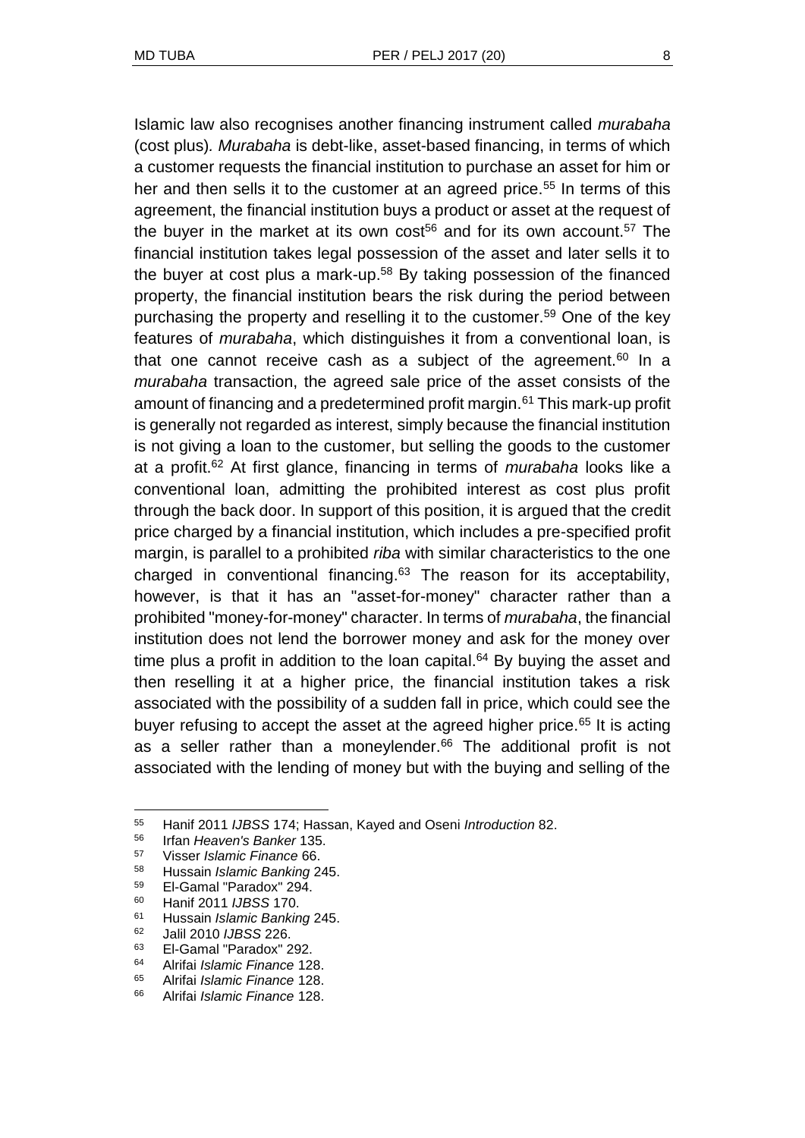Islamic law also recognises another financing instrument called *murabaha*  (cost plus)*. Murabaha* is debt-like, asset-based financing, in terms of which a customer requests the financial institution to purchase an asset for him or her and then sells it to the customer at an agreed price.<sup>55</sup> In terms of this agreement, the financial institution buys a product or asset at the request of the buyer in the market at its own cost<sup>56</sup> and for its own account.<sup>57</sup> The financial institution takes legal possession of the asset and later sells it to the buyer at cost plus a mark-up.<sup>58</sup> By taking possession of the financed property, the financial institution bears the risk during the period between purchasing the property and reselling it to the customer.<sup>59</sup> One of the key features of *murabaha*, which distinguishes it from a conventional loan, is that one cannot receive cash as a subject of the agreement.<sup>60</sup> In a *murabaha* transaction, the agreed sale price of the asset consists of the amount of financing and a predetermined profit margin.<sup>61</sup> This mark-up profit is generally not regarded as interest, simply because the financial institution is not giving a loan to the customer, but selling the goods to the customer at a profit.<sup>62</sup> At first glance, financing in terms of *murabaha* looks like a conventional loan, admitting the prohibited interest as cost plus profit through the back door. In support of this position, it is argued that the credit price charged by a financial institution, which includes a pre-specified profit margin, is parallel to a prohibited *riba* with similar characteristics to the one charged in conventional financing. $63$  The reason for its acceptability, however, is that it has an "asset-for-money" character rather than a prohibited "money-for-money" character. In terms of *murabaha*, the financial institution does not lend the borrower money and ask for the money over time plus a profit in addition to the loan capital. $64$  By buying the asset and then reselling it at a higher price, the financial institution takes a risk associated with the possibility of a sudden fall in price, which could see the buyer refusing to accept the asset at the agreed higher price.<sup>65</sup> It is acting as a seller rather than a moneylender.<sup>66</sup> The additional profit is not associated with the lending of money but with the buying and selling of the

 $\overline{a}$ 

<sup>55</sup> Hanif 2011 *IJBSS* 174; Hassan, Kayed and Oseni *Introduction* 82.

<sup>56</sup> Irfan *Heaven's Banker* 135.

<sup>57</sup> Visser *Islamic Finance* 66.

<sup>58</sup> Hussain *Islamic Banking* 245.

<sup>59</sup> El-Gamal "Paradox" 294.

<sup>60</sup> Hanif 2011 *IJBSS* 170.

<sup>61</sup> Hussain *Islamic Banking* 245.

<sup>62</sup> Jalil 2010 *IJBSS* 226.

<sup>63</sup> El-Gamal "Paradox" 292.

<sup>64</sup> Alrifai *Islamic Finance* 128.

<sup>65</sup> Alrifai *Islamic Finance* 128.

<sup>66</sup> Alrifai *Islamic Finance* 128.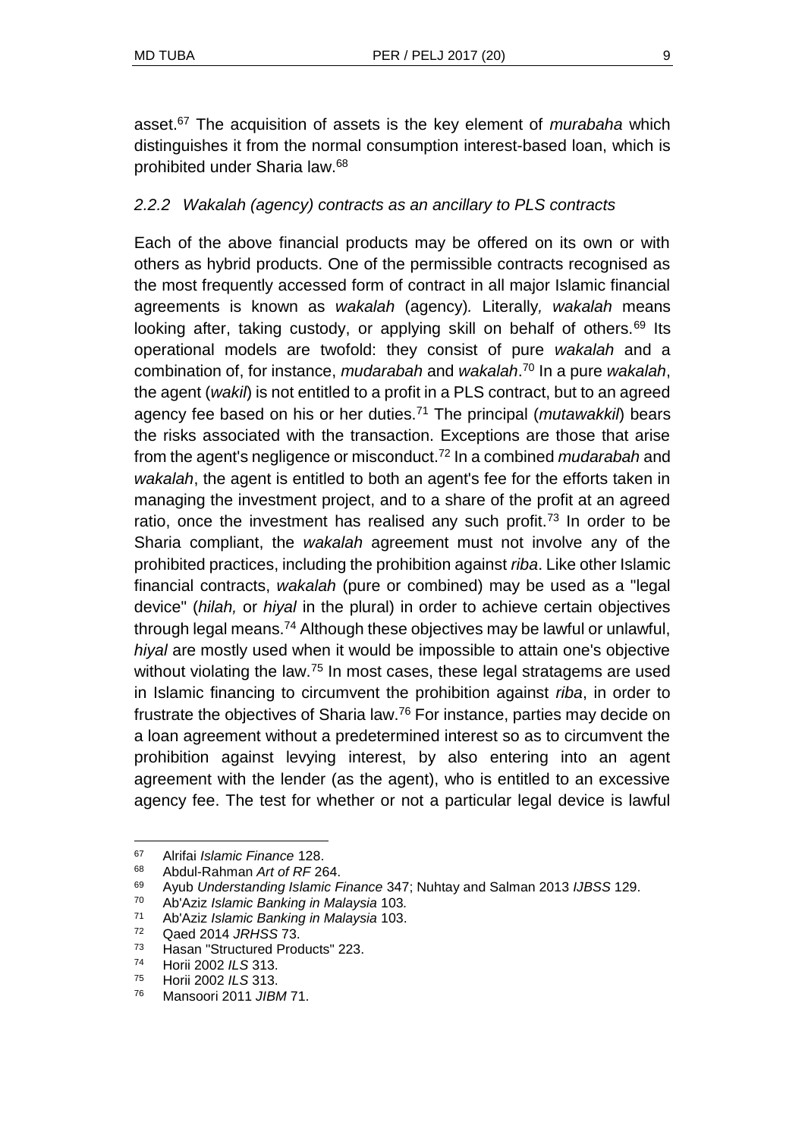asset.<sup>67</sup> The acquisition of assets is the key element of *murabaha* which distinguishes it from the normal consumption interest-based loan, which is prohibited under Sharia law.<sup>68</sup>

#### *2.2.2 Wakalah (agency) contracts as an ancillary to PLS contracts*

Each of the above financial products may be offered on its own or with others as hybrid products. One of the permissible contracts recognised as the most frequently accessed form of contract in all major Islamic financial agreements is known as *wakalah* (agency)*.* Literally*, wakalah* means looking after, taking custody, or applying skill on behalf of others.<sup>69</sup> Its operational models are twofold: they consist of pure *wakalah* and a combination of, for instance, *mudarabah* and *wakalah*. <sup>70</sup> In a pure *wakalah*, the agent (*wakil*) is not entitled to a profit in a PLS contract, but to an agreed agency fee based on his or her duties.<sup>71</sup> The principal (*mutawakkil*) bears the risks associated with the transaction. Exceptions are those that arise from the agent's negligence or misconduct.<sup>72</sup> In a combined *mudarabah* and *wakalah*, the agent is entitled to both an agent's fee for the efforts taken in managing the investment project, and to a share of the profit at an agreed ratio, once the investment has realised any such profit.<sup>73</sup> In order to be Sharia compliant, the *wakalah* agreement must not involve any of the prohibited practices, including the prohibition against *riba*. Like other Islamic financial contracts, *wakalah* (pure or combined) may be used as a "legal device" (*hilah,* or *hiyal* in the plural) in order to achieve certain objectives through legal means.<sup>74</sup> Although these objectives may be lawful or unlawful, *hiyal* are mostly used when it would be impossible to attain one's objective without violating the law.<sup>75</sup> In most cases, these legal stratagems are used in Islamic financing to circumvent the prohibition against *riba*, in order to frustrate the objectives of Sharia law.<sup>76</sup> For instance, parties may decide on a loan agreement without a predetermined interest so as to circumvent the prohibition against levying interest, by also entering into an agent agreement with the lender (as the agent), who is entitled to an excessive agency fee. The test for whether or not a particular legal device is lawful

<sup>67</sup> Alrifai *Islamic Finance* 128.

<sup>68</sup> Abdul-Rahman *Art of RF* 264.

<sup>69</sup> Ayub *Understanding Islamic Finance* 347; Nuhtay and Salman 2013 *IJBSS* 129.

<sup>70</sup> Ab'Aziz *Islamic Banking in Malaysia* 103*.*

<sup>71</sup> Ab'Aziz *Islamic Banking in Malaysia* 103.

<sup>72</sup> Qaed 2014 *JRHSS* 73.

<sup>73</sup> Hasan "Structured Products" 223.

<sup>74</sup> Horii 2002 *ILS* 313.

<sup>75</sup> Horii 2002 *ILS* 313.

<sup>76</sup> Mansoori 2011 *JIBM* 71.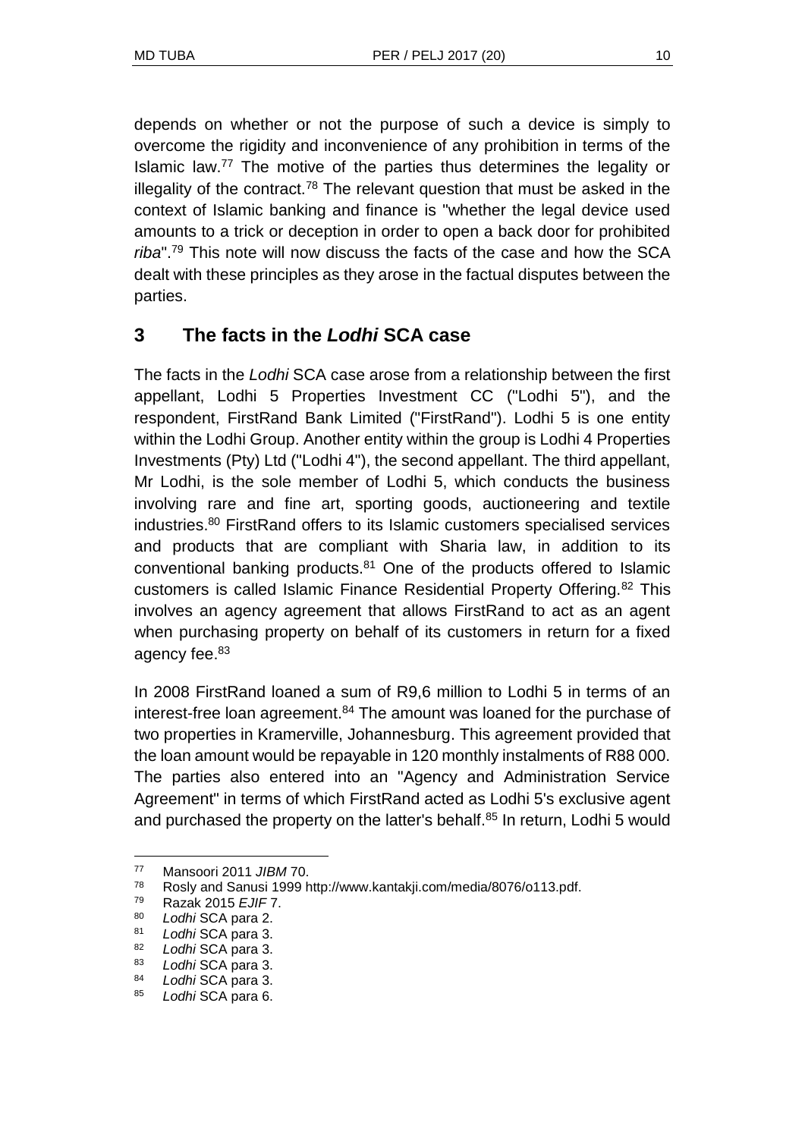depends on whether or not the purpose of such a device is simply to overcome the rigidity and inconvenience of any prohibition in terms of the Islamic law.<sup>77</sup> The motive of the parties thus determines the legality or illegality of the contract.<sup>78</sup> The relevant question that must be asked in the context of Islamic banking and finance is "whether the legal device used amounts to a trick or deception in order to open a back door for prohibited *riba*".<sup>79</sup> This note will now discuss the facts of the case and how the SCA dealt with these principles as they arose in the factual disputes between the parties.

# **3 The facts in the** *Lodhi* **SCA case**

The facts in the *Lodhi* SCA case arose from a relationship between the first appellant, Lodhi 5 Properties Investment CC ("Lodhi 5"), and the respondent, FirstRand Bank Limited ("FirstRand"). Lodhi 5 is one entity within the Lodhi Group. Another entity within the group is Lodhi 4 Properties Investments (Pty) Ltd ("Lodhi 4"), the second appellant. The third appellant, Mr Lodhi, is the sole member of Lodhi 5, which conducts the business involving rare and fine art, sporting goods, auctioneering and textile industries.<sup>80</sup> FirstRand offers to its Islamic customers specialised services and products that are compliant with Sharia law, in addition to its conventional banking products.<sup>81</sup> One of the products offered to Islamic customers is called Islamic Finance Residential Property Offering.<sup>82</sup> This involves an agency agreement that allows FirstRand to act as an agent when purchasing property on behalf of its customers in return for a fixed agency fee.<sup>83</sup>

In 2008 FirstRand loaned a sum of R9,6 million to Lodhi 5 in terms of an interest-free loan agreement.<sup>84</sup> The amount was loaned for the purchase of two properties in Kramerville, Johannesburg. This agreement provided that the loan amount would be repayable in 120 monthly instalments of R88 000. The parties also entered into an "Agency and Administration Service Agreement" in terms of which FirstRand acted as Lodhi 5's exclusive agent and purchased the property on the latter's behalf.<sup>85</sup> In return, Lodhi 5 would

<sup>77</sup> Mansoori 2011 *JIBM* 70.

<sup>78</sup> Rosly and Sanusi 1999 http://www.kantakji.com/media/8076/o113.pdf.

<sup>79</sup> Razak 2015 *EJIF* 7.

<sup>80</sup> *Lodhi* SCA para 2.

<sup>81</sup> *Lodhi* SCA para 3.

<sup>82</sup> *Lodhi* SCA para 3.

<sup>83</sup> *Lodhi* SCA para 3.

<sup>84</sup> *Lodhi* SCA para 3.

<sup>85</sup> *Lodhi* SCA para 6.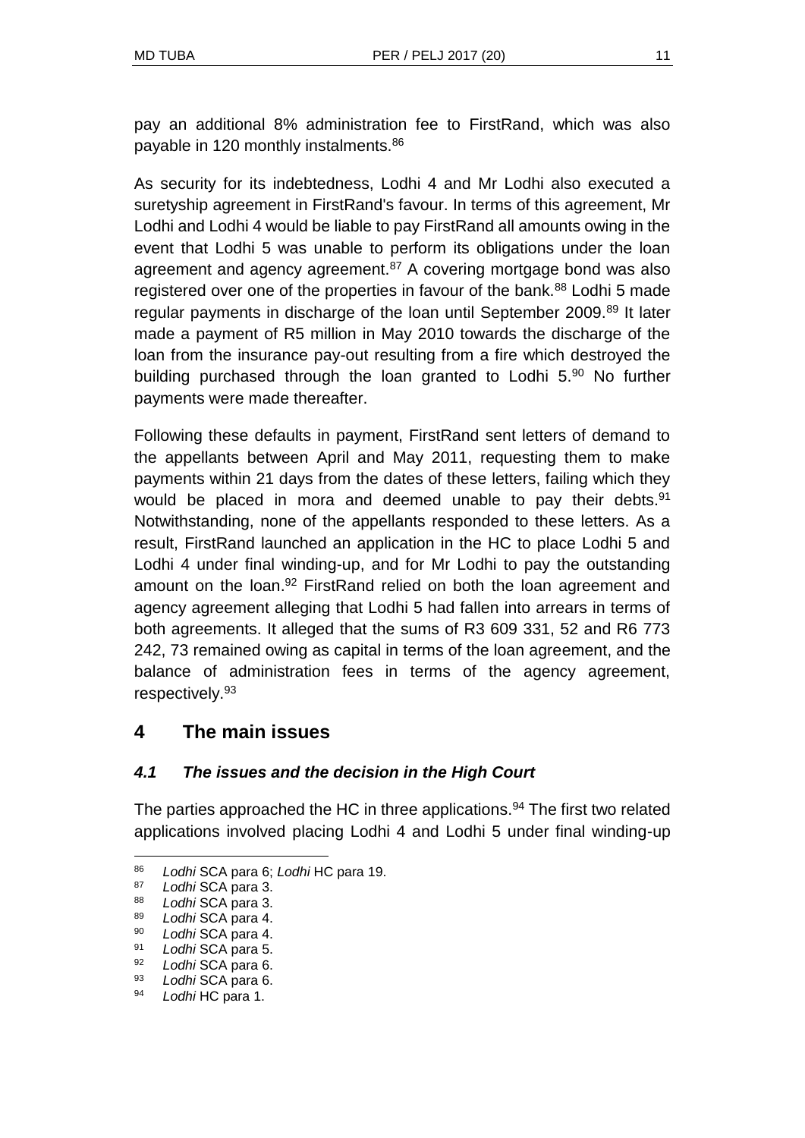pay an additional 8% administration fee to FirstRand, which was also payable in 120 monthly instalments.<sup>86</sup>

As security for its indebtedness, Lodhi 4 and Mr Lodhi also executed a suretyship agreement in FirstRand's favour. In terms of this agreement, Mr Lodhi and Lodhi 4 would be liable to pay FirstRand all amounts owing in the event that Lodhi 5 was unable to perform its obligations under the loan agreement and agency agreement. $87$  A covering mortgage bond was also registered over one of the properties in favour of the bank.<sup>88</sup> Lodhi 5 made regular payments in discharge of the loan until September 2009.<sup>89</sup> It later made a payment of R5 million in May 2010 towards the discharge of the loan from the insurance pay-out resulting from a fire which destroyed the building purchased through the loan granted to Lodhi 5.<sup>90</sup> No further payments were made thereafter.

Following these defaults in payment, FirstRand sent letters of demand to the appellants between April and May 2011, requesting them to make payments within 21 days from the dates of these letters, failing which they would be placed in mora and deemed unable to pay their debts.<sup>91</sup> Notwithstanding, none of the appellants responded to these letters. As a result, FirstRand launched an application in the HC to place Lodhi 5 and Lodhi 4 under final winding-up, and for Mr Lodhi to pay the outstanding amount on the loan.<sup>92</sup> FirstRand relied on both the loan agreement and agency agreement alleging that Lodhi 5 had fallen into arrears in terms of both agreements. It alleged that the sums of R3 609 331, 52 and R6 773 242, 73 remained owing as capital in terms of the loan agreement, and the balance of administration fees in terms of the agency agreement, respectively.<sup>93</sup>

## **4 The main issues**

## *4.1 The issues and the decision in the High Court*

The parties approached the HC in three applications.<sup>94</sup> The first two related applications involved placing Lodhi 4 and Lodhi 5 under final winding-up

<sup>86</sup> *Lodhi* SCA para 6; *Lodhi* HC para 19.

<sup>87</sup> *Lodhi* SCA para 3.

<sup>88</sup> *Lodhi* SCA para 3.

<sup>89</sup> *Lodhi* SCA para 4.

<sup>90</sup> *Lodhi* SCA para 4.

<sup>91</sup> *Lodhi* SCA para 5.

<sup>92</sup> *Lodhi* SCA para 6.

<sup>93</sup> *Lodhi* SCA para 6.

<sup>94</sup> *Lodhi* HC para 1.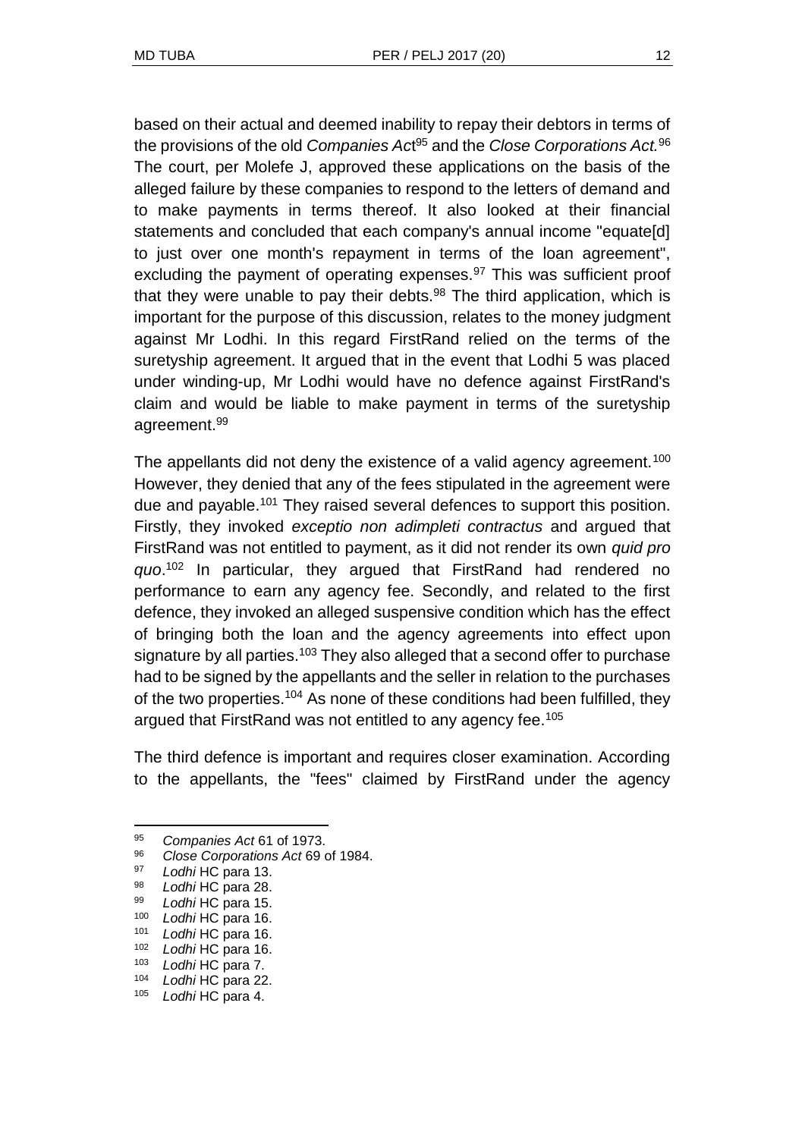based on their actual and deemed inability to repay their debtors in terms of the provisions of the old *Companies Ac*t <sup>95</sup> and the *Close Corporations Act.*<sup>96</sup> The court, per Molefe J, approved these applications on the basis of the alleged failure by these companies to respond to the letters of demand and to make payments in terms thereof. It also looked at their financial statements and concluded that each company's annual income "equate[d] to just over one month's repayment in terms of the loan agreement", excluding the payment of operating expenses. $97$  This was sufficient proof that they were unable to pay their debts.<sup>98</sup> The third application, which is important for the purpose of this discussion, relates to the money judgment against Mr Lodhi. In this regard FirstRand relied on the terms of the suretyship agreement. It argued that in the event that Lodhi 5 was placed under winding-up, Mr Lodhi would have no defence against FirstRand's claim and would be liable to make payment in terms of the suretyship agreement.<sup>99</sup>

The appellants did not deny the existence of a valid agency agreement.<sup>100</sup> However, they denied that any of the fees stipulated in the agreement were due and payable.<sup>101</sup> They raised several defences to support this position. Firstly, they invoked *exceptio non adimpleti contractus* and argued that FirstRand was not entitled to payment, as it did not render its own *quid pro quo*. <sup>102</sup> In particular, they argued that FirstRand had rendered no performance to earn any agency fee. Secondly, and related to the first defence, they invoked an alleged suspensive condition which has the effect of bringing both the loan and the agency agreements into effect upon signature by all parties.<sup>103</sup> They also alleged that a second offer to purchase had to be signed by the appellants and the seller in relation to the purchases of the two properties.<sup>104</sup> As none of these conditions had been fulfilled, they argued that FirstRand was not entitled to any agency fee.<sup>105</sup>

The third defence is important and requires closer examination. According to the appellants, the "fees" claimed by FirstRand under the agency

<sup>95</sup> *Companies Act* 61 of 1973.

<sup>96</sup> *Close Corporations Act* 69 of 1984.

<sup>97</sup> *Lodhi* HC para 13.

Lodhi HC para 28.

<sup>99</sup> *Lodhi* HC para 15.

<sup>100</sup> *Lodhi* HC para 16.

<sup>101</sup> *Lodhi* HC para 16.

<sup>102</sup> *Lodhi* HC para 16.

<sup>103</sup> *Lodhi* HC para 7.

<sup>104</sup> *Lodhi* HC para 22.

<sup>105</sup> *Lodhi* HC para 4.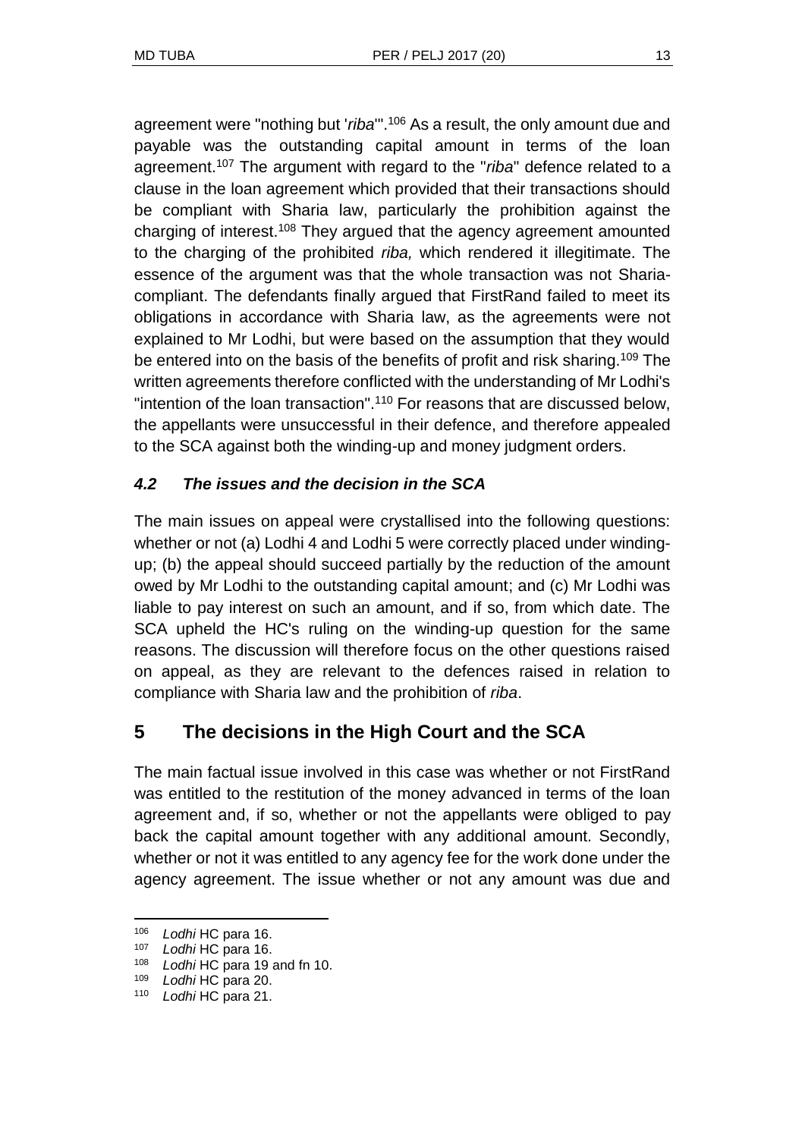agreement were "nothing but '*riba*'".<sup>106</sup> As a result, the only amount due and payable was the outstanding capital amount in terms of the loan agreement.<sup>107</sup> The argument with regard to the "*riba*" defence related to a clause in the loan agreement which provided that their transactions should be compliant with Sharia law, particularly the prohibition against the charging of interest.<sup>108</sup> They argued that the agency agreement amounted to the charging of the prohibited *riba,* which rendered it illegitimate. The essence of the argument was that the whole transaction was not Shariacompliant. The defendants finally argued that FirstRand failed to meet its obligations in accordance with Sharia law, as the agreements were not explained to Mr Lodhi, but were based on the assumption that they would be entered into on the basis of the benefits of profit and risk sharing.<sup>109</sup> The written agreements therefore conflicted with the understanding of Mr Lodhi's "intention of the loan transaction".<sup>110</sup> For reasons that are discussed below, the appellants were unsuccessful in their defence, and therefore appealed to the SCA against both the winding-up and money judgment orders.

## *4.2 The issues and the decision in the SCA*

The main issues on appeal were crystallised into the following questions: whether or not (a) Lodhi 4 and Lodhi 5 were correctly placed under windingup; (b) the appeal should succeed partially by the reduction of the amount owed by Mr Lodhi to the outstanding capital amount; and (c) Mr Lodhi was liable to pay interest on such an amount, and if so, from which date. The SCA upheld the HC's ruling on the winding-up question for the same reasons. The discussion will therefore focus on the other questions raised on appeal, as they are relevant to the defences raised in relation to compliance with Sharia law and the prohibition of *riba*.

# **5 The decisions in the High Court and the SCA**

The main factual issue involved in this case was whether or not FirstRand was entitled to the restitution of the money advanced in terms of the loan agreement and, if so, whether or not the appellants were obliged to pay back the capital amount together with any additional amount. Secondly, whether or not it was entitled to any agency fee for the work done under the agency agreement. The issue whether or not any amount was due and

<sup>106</sup> *Lodhi* HC para 16.

<sup>107</sup> *Lodhi* HC para 16.

<sup>108</sup> *Lodhi* HC para 19 and fn 10.

<sup>109</sup> *Lodhi* HC para 20.

<sup>110</sup> *Lodhi* HC para 21.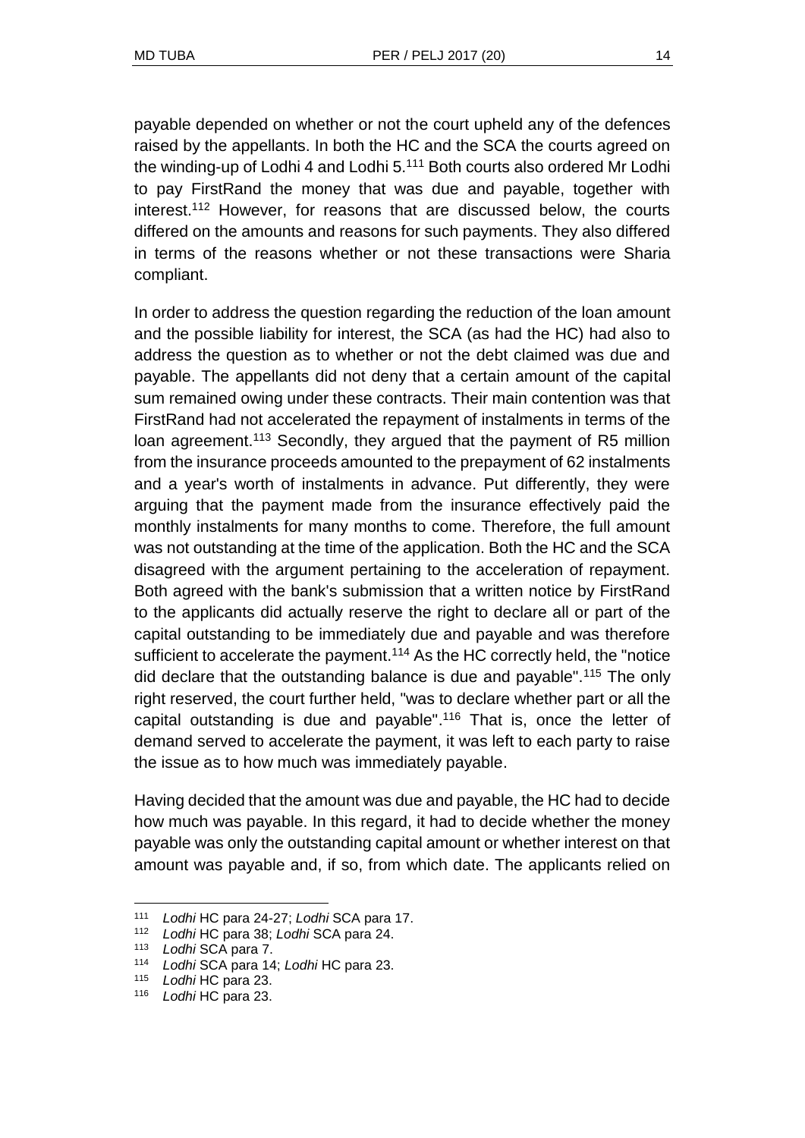payable depended on whether or not the court upheld any of the defences raised by the appellants. In both the HC and the SCA the courts agreed on the winding-up of Lodhi 4 and Lodhi 5.<sup>111</sup> Both courts also ordered Mr Lodhi to pay FirstRand the money that was due and payable, together with interest.<sup>112</sup> However, for reasons that are discussed below, the courts differed on the amounts and reasons for such payments. They also differed in terms of the reasons whether or not these transactions were Sharia compliant.

In order to address the question regarding the reduction of the loan amount and the possible liability for interest, the SCA (as had the HC) had also to address the question as to whether or not the debt claimed was due and payable. The appellants did not deny that a certain amount of the capital sum remained owing under these contracts. Their main contention was that FirstRand had not accelerated the repayment of instalments in terms of the loan agreement.<sup>113</sup> Secondly, they argued that the payment of R5 million from the insurance proceeds amounted to the prepayment of 62 instalments and a year's worth of instalments in advance. Put differently, they were arguing that the payment made from the insurance effectively paid the monthly instalments for many months to come. Therefore, the full amount was not outstanding at the time of the application. Both the HC and the SCA disagreed with the argument pertaining to the acceleration of repayment. Both agreed with the bank's submission that a written notice by FirstRand to the applicants did actually reserve the right to declare all or part of the capital outstanding to be immediately due and payable and was therefore sufficient to accelerate the payment.<sup>114</sup> As the HC correctly held, the "notice did declare that the outstanding balance is due and payable".<sup>115</sup> The only right reserved, the court further held, "was to declare whether part or all the capital outstanding is due and payable".<sup>116</sup> That is, once the letter of demand served to accelerate the payment, it was left to each party to raise the issue as to how much was immediately payable.

Having decided that the amount was due and payable, the HC had to decide how much was payable. In this regard, it had to decide whether the money payable was only the outstanding capital amount or whether interest on that amount was payable and, if so, from which date. The applicants relied on

<sup>111</sup> *Lodhi* HC para 24-27; *Lodhi* SCA para 17.

<sup>112</sup> *Lodhi* HC para 38; *Lodhi* SCA para 24.

<sup>113</sup> *Lodhi* SCA para 7.

<sup>114</sup> *Lodhi* SCA para 14; *Lodhi* HC para 23.

<sup>115</sup> *Lodhi* HC para 23.

<sup>116</sup> *Lodhi* HC para 23.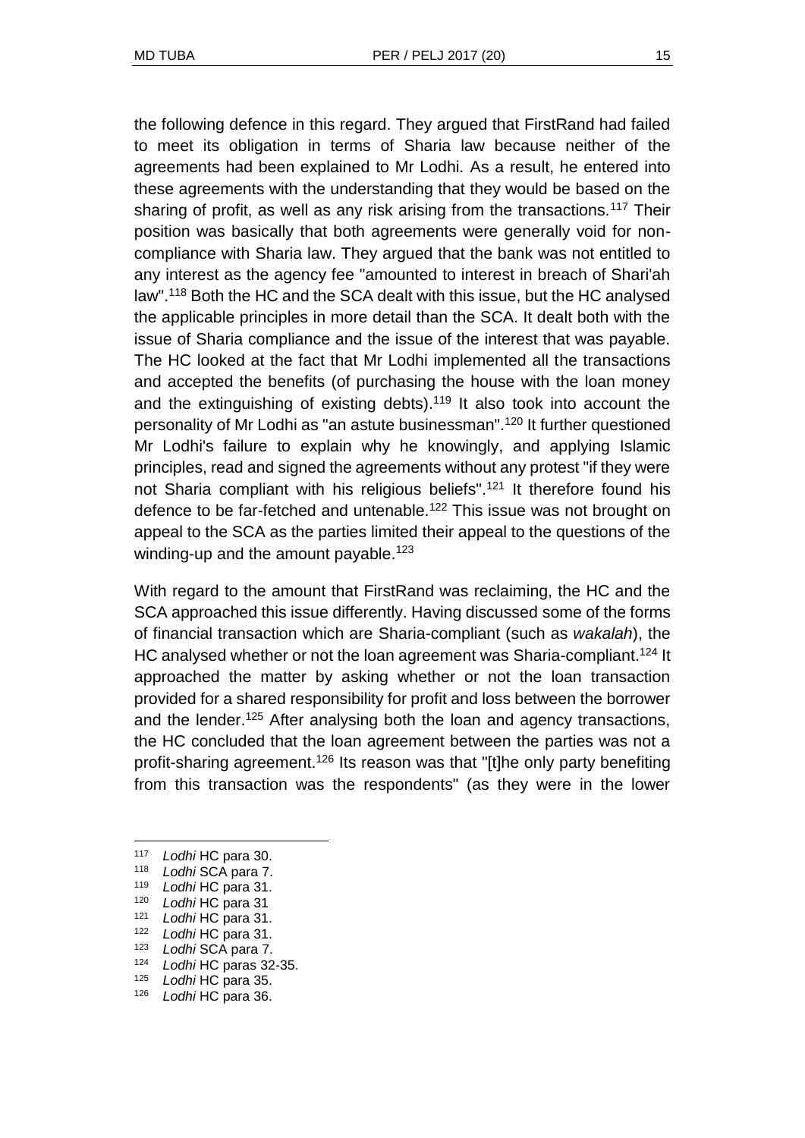the following defence in this regard. They argued that FirstRand had failed to meet its obligation in terms of Sharia law because neither of the agreements had been explained to Mr Lodhi. As a result, he entered into these agreements with the understanding that they would be based on the sharing of profit, as well as any risk arising from the transactions.<sup>117</sup> Their position was basically that both agreements were generally void for noncompliance with Sharia law. They argued that the bank was not entitled to any interest as the agency fee "amounted to interest in breach of Shari'ah law".<sup>118</sup> Both the HC and the SCA dealt with this issue, but the HC analysed the applicable principles in more detail than the SCA. It dealt both with the issue of Sharia compliance and the issue of the interest that was payable. The HC looked at the fact that Mr Lodhi implemented all the transactions and accepted the benefits (of purchasing the house with the loan money and the extinguishing of existing debts).<sup>119</sup> It also took into account the personality of Mr Lodhi as "an astute businessman".<sup>120</sup> It further questioned Mr Lodhi's failure to explain why he knowingly, and applying Islamic principles, read and signed the agreements without any protest "if they were not Sharia compliant with his religious beliefs".<sup>121</sup> It therefore found his defence to be far-fetched and untenable.<sup>122</sup> This issue was not brought on appeal to the SCA as the parties limited their appeal to the questions of the winding-up and the amount payable.<sup>123</sup>

With regard to the amount that FirstRand was reclaiming, the HC and the SCA approached this issue differently. Having discussed some of the forms of financial transaction which are Sharia-compliant (such as *wakalah*), the HC analysed whether or not the loan agreement was Sharia-compliant.<sup>124</sup> It approached the matter by asking whether or not the loan transaction provided for a shared responsibility for profit and loss between the borrower and the lender.<sup>125</sup> After analysing both the loan and agency transactions, the HC concluded that the loan agreement between the parties was not a profit-sharing agreement.<sup>126</sup> Its reason was that "[t]he only party benefiting from this transaction was the respondents" (as they were in the lower

l

<sup>124</sup> *Lodhi* HC paras 32-35.

<sup>117</sup> *Lodhi* HC para 30.

<sup>118</sup> *Lodhi* SCA para 7.

<sup>119</sup> *Lodhi* HC para 31.

<sup>120</sup> *Lodhi* HC para 31

<sup>121</sup> *Lodhi* HC para 31.

<sup>122</sup> *Lodhi* HC para 31.

<sup>123</sup> *Lodhi* SCA para 7.

<sup>125</sup> *Lodhi* HC para 35.

<sup>126</sup> *Lodhi* HC para 36.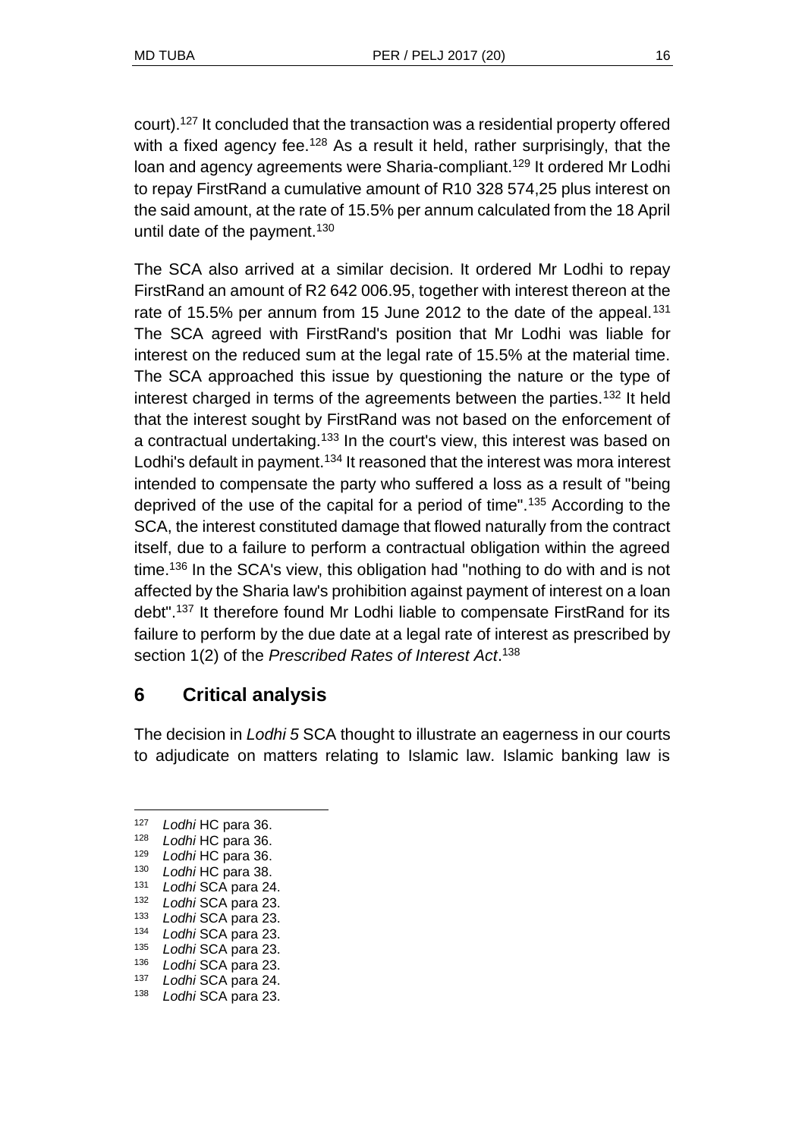court).<sup>127</sup> It concluded that the transaction was a residential property offered with a fixed agency fee.<sup>128</sup> As a result it held, rather surprisingly, that the loan and agency agreements were Sharia-compliant.<sup>129</sup> It ordered Mr Lodhi to repay FirstRand a cumulative amount of R10 328 574,25 plus interest on the said amount, at the rate of 15.5% per annum calculated from the 18 April until date of the payment.<sup>130</sup>

The SCA also arrived at a similar decision. It ordered Mr Lodhi to repay FirstRand an amount of R2 642 006.95, together with interest thereon at the rate of 15.5% per annum from 15 June 2012 to the date of the appeal.<sup>131</sup> The SCA agreed with FirstRand's position that Mr Lodhi was liable for interest on the reduced sum at the legal rate of 15.5% at the material time. The SCA approached this issue by questioning the nature or the type of interest charged in terms of the agreements between the parties.<sup>132</sup> It held that the interest sought by FirstRand was not based on the enforcement of a contractual undertaking.<sup>133</sup> In the court's view, this interest was based on Lodhi's default in payment.<sup>134</sup> It reasoned that the interest was mora interest intended to compensate the party who suffered a loss as a result of "being deprived of the use of the capital for a period of time".<sup>135</sup> According to the SCA, the interest constituted damage that flowed naturally from the contract itself, due to a failure to perform a contractual obligation within the agreed time.<sup>136</sup> In the SCA's view, this obligation had "nothing to do with and is not affected by the Sharia law's prohibition against payment of interest on a loan debt".<sup>137</sup> It therefore found Mr Lodhi liable to compensate FirstRand for its failure to perform by the due date at a legal rate of interest as prescribed by section 1(2) of the *Prescribed Rates of Interest Act*. 138

# **6 Critical analysis**

The decision in *Lodhi 5* SCA thought to illustrate an eagerness in our courts to adjudicate on matters relating to Islamic law. Islamic banking law is

 $\overline{a}$ 

<sup>127</sup> *Lodhi* HC para 36.<br>128 *Lodhi* HC para 36.

<sup>128</sup> *Lodhi* HC para 36.

Lodhi HC para 36.

<sup>130</sup> *Lodhi* HC para 38.

<sup>131</sup> *Lodhi* SCA para 24.

<sup>132</sup> *Lodhi* SCA para 23.

<sup>133</sup> *Lodhi* SCA para 23.

<sup>134</sup> *Lodhi* SCA para 23.

<sup>135</sup> *Lodhi* SCA para 23.

<sup>136</sup> *Lodhi* SCA para 23.

<sup>137</sup> *Lodhi* SCA para 24.

<sup>138</sup> *Lodhi* SCA para 23.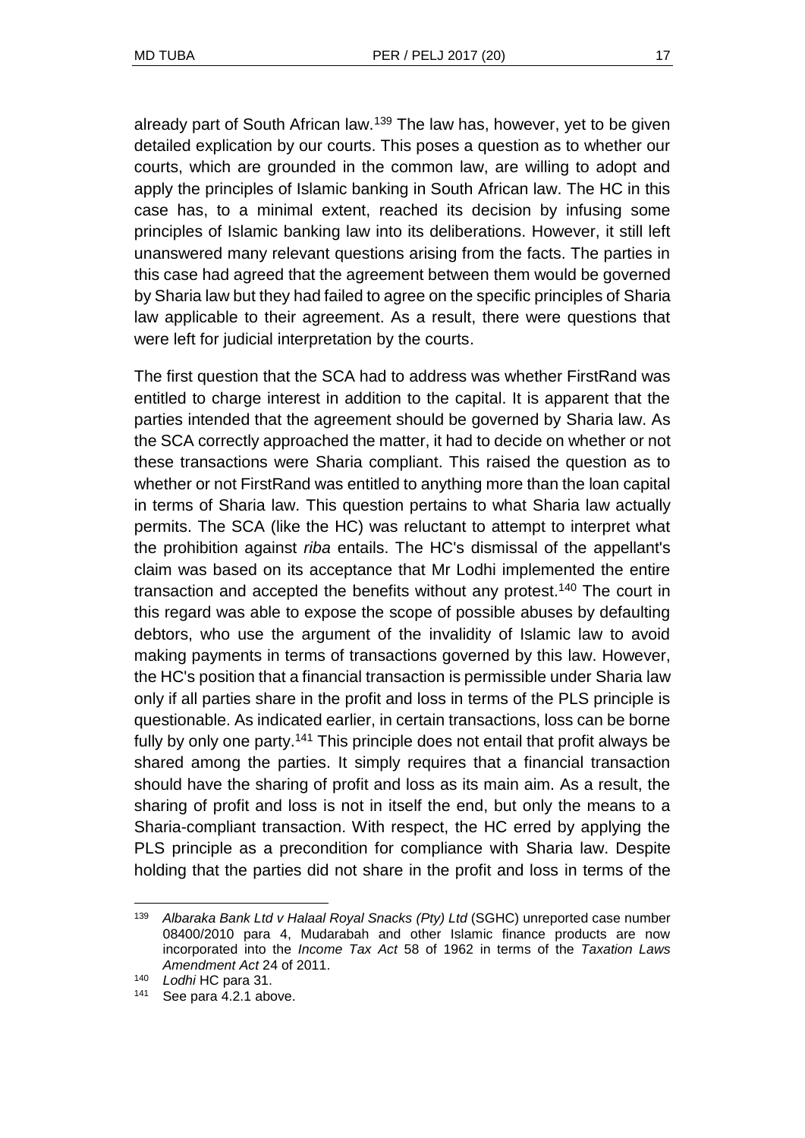already part of South African law.<sup>139</sup> The law has, however, yet to be given detailed explication by our courts. This poses a question as to whether our courts, which are grounded in the common law, are willing to adopt and apply the principles of Islamic banking in South African law. The HC in this case has, to a minimal extent, reached its decision by infusing some principles of Islamic banking law into its deliberations. However, it still left unanswered many relevant questions arising from the facts. The parties in this case had agreed that the agreement between them would be governed by Sharia law but they had failed to agree on the specific principles of Sharia law applicable to their agreement. As a result, there were questions that were left for judicial interpretation by the courts.

The first question that the SCA had to address was whether FirstRand was entitled to charge interest in addition to the capital. It is apparent that the parties intended that the agreement should be governed by Sharia law. As the SCA correctly approached the matter, it had to decide on whether or not these transactions were Sharia compliant. This raised the question as to whether or not FirstRand was entitled to anything more than the loan capital in terms of Sharia law. This question pertains to what Sharia law actually permits. The SCA (like the HC) was reluctant to attempt to interpret what the prohibition against *riba* entails. The HC's dismissal of the appellant's claim was based on its acceptance that Mr Lodhi implemented the entire transaction and accepted the benefits without any protest.<sup>140</sup> The court in this regard was able to expose the scope of possible abuses by defaulting debtors, who use the argument of the invalidity of Islamic law to avoid making payments in terms of transactions governed by this law. However, the HC's position that a financial transaction is permissible under Sharia law only if all parties share in the profit and loss in terms of the PLS principle is questionable. As indicated earlier, in certain transactions, loss can be borne fully by only one party.<sup>141</sup> This principle does not entail that profit always be shared among the parties. It simply requires that a financial transaction should have the sharing of profit and loss as its main aim. As a result, the sharing of profit and loss is not in itself the end, but only the means to a Sharia-compliant transaction. With respect, the HC erred by applying the PLS principle as a precondition for compliance with Sharia law. Despite holding that the parties did not share in the profit and loss in terms of the

<sup>139</sup> *Albaraka Bank Ltd v Halaal Royal Snacks (Pty) Ltd* (SGHC) unreported case number 08400/2010 para 4, Mudarabah and other Islamic finance products are now incorporated into the *Income Tax Act* 58 of 1962 in terms of the *Taxation Laws Amendment Act* 24 of 2011.

<sup>140</sup> *Lodhi* HC para 31.

<sup>141</sup> See para 4.2.1 above.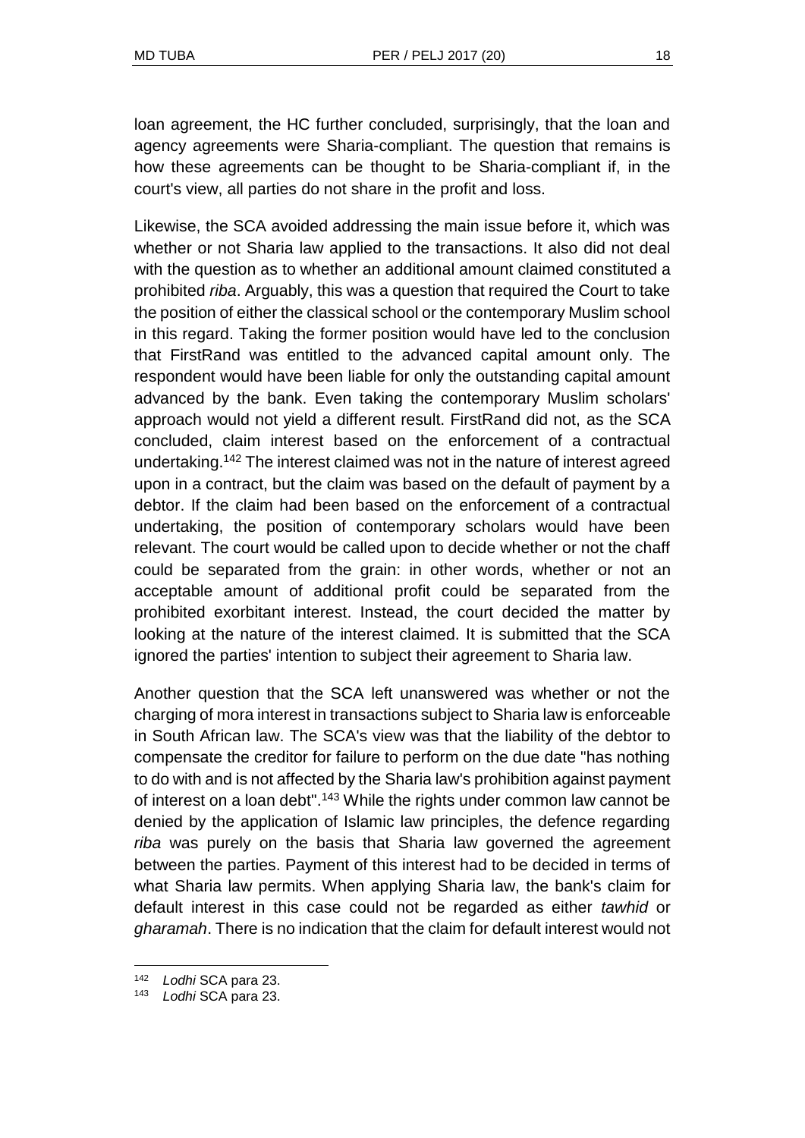loan agreement, the HC further concluded, surprisingly, that the loan and agency agreements were Sharia-compliant. The question that remains is how these agreements can be thought to be Sharia-compliant if, in the court's view, all parties do not share in the profit and loss.

Likewise, the SCA avoided addressing the main issue before it, which was whether or not Sharia law applied to the transactions. It also did not deal with the question as to whether an additional amount claimed constituted a prohibited *riba*. Arguably, this was a question that required the Court to take the position of either the classical school or the contemporary Muslim school in this regard. Taking the former position would have led to the conclusion that FirstRand was entitled to the advanced capital amount only. The respondent would have been liable for only the outstanding capital amount advanced by the bank. Even taking the contemporary Muslim scholars' approach would not yield a different result. FirstRand did not, as the SCA concluded, claim interest based on the enforcement of a contractual undertaking.<sup>142</sup> The interest claimed was not in the nature of interest agreed upon in a contract, but the claim was based on the default of payment by a debtor. If the claim had been based on the enforcement of a contractual undertaking, the position of contemporary scholars would have been relevant. The court would be called upon to decide whether or not the chaff could be separated from the grain: in other words, whether or not an acceptable amount of additional profit could be separated from the prohibited exorbitant interest. Instead, the court decided the matter by looking at the nature of the interest claimed. It is submitted that the SCA ignored the parties' intention to subject their agreement to Sharia law.

Another question that the SCA left unanswered was whether or not the charging of mora interest in transactions subject to Sharia law is enforceable in South African law. The SCA's view was that the liability of the debtor to compensate the creditor for failure to perform on the due date "has nothing to do with and is not affected by the Sharia law's prohibition against payment of interest on a loan debt".<sup>143</sup> While the rights under common law cannot be denied by the application of Islamic law principles, the defence regarding *riba* was purely on the basis that Sharia law governed the agreement between the parties. Payment of this interest had to be decided in terms of what Sharia law permits. When applying Sharia law, the bank's claim for default interest in this case could not be regarded as either *tawhid* or *gharamah*. There is no indication that the claim for default interest would not

<sup>142</sup> *Lodhi* SCA para 23.

<sup>143</sup> *Lodhi* SCA para 23.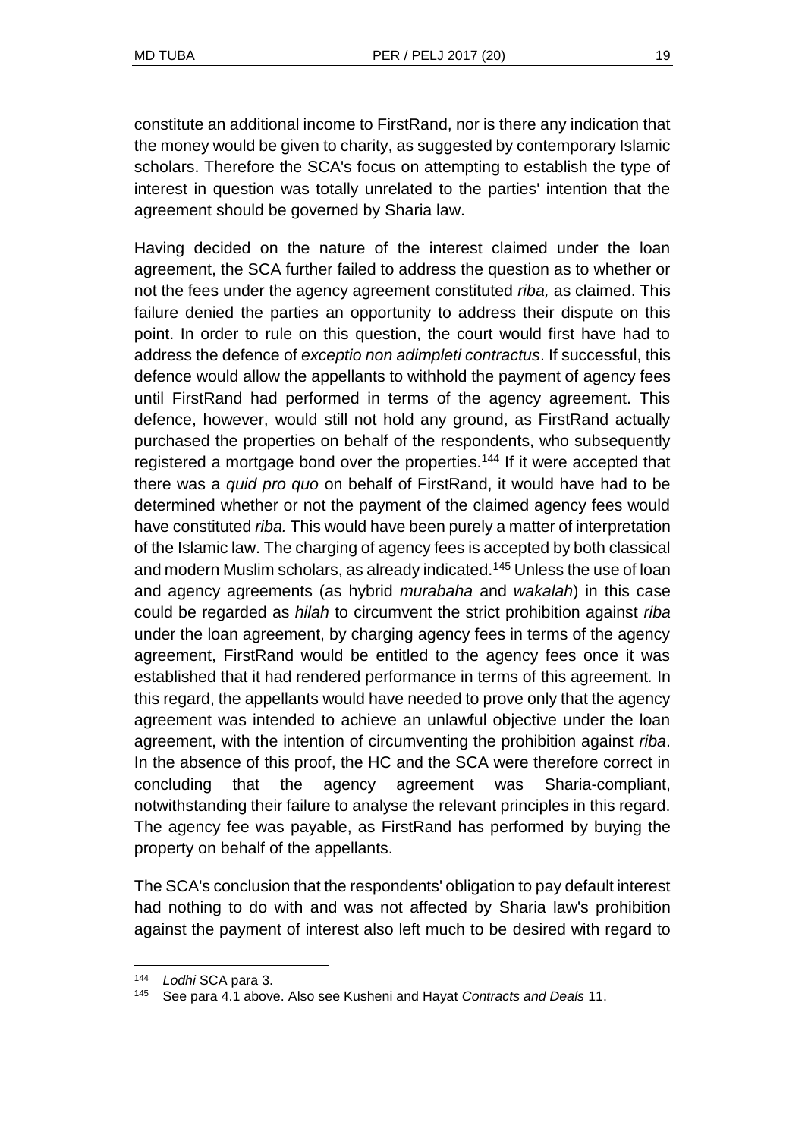constitute an additional income to FirstRand, nor is there any indication that the money would be given to charity, as suggested by contemporary Islamic scholars. Therefore the SCA's focus on attempting to establish the type of interest in question was totally unrelated to the parties' intention that the agreement should be governed by Sharia law.

Having decided on the nature of the interest claimed under the loan agreement, the SCA further failed to address the question as to whether or not the fees under the agency agreement constituted *riba,* as claimed. This failure denied the parties an opportunity to address their dispute on this point. In order to rule on this question, the court would first have had to address the defence of *exceptio non adimpleti contractus*. If successful, this defence would allow the appellants to withhold the payment of agency fees until FirstRand had performed in terms of the agency agreement. This defence, however, would still not hold any ground, as FirstRand actually purchased the properties on behalf of the respondents, who subsequently registered a mortgage bond over the properties.<sup>144</sup> If it were accepted that there was a *quid pro quo* on behalf of FirstRand, it would have had to be determined whether or not the payment of the claimed agency fees would have constituted *riba.* This would have been purely a matter of interpretation of the Islamic law. The charging of agency fees is accepted by both classical and modern Muslim scholars, as already indicated.<sup>145</sup> Unless the use of loan and agency agreements (as hybrid *murabaha* and *wakalah*) in this case could be regarded as *hilah* to circumvent the strict prohibition against *riba* under the loan agreement, by charging agency fees in terms of the agency agreement, FirstRand would be entitled to the agency fees once it was established that it had rendered performance in terms of this agreement*.* In this regard, the appellants would have needed to prove only that the agency agreement was intended to achieve an unlawful objective under the loan agreement, with the intention of circumventing the prohibition against *riba*. In the absence of this proof, the HC and the SCA were therefore correct in concluding that the agency agreement was Sharia-compliant, notwithstanding their failure to analyse the relevant principles in this regard. The agency fee was payable, as FirstRand has performed by buying the property on behalf of the appellants.

The SCA's conclusion that the respondents' obligation to pay default interest had nothing to do with and was not affected by Sharia law's prohibition against the payment of interest also left much to be desired with regard to

<sup>144</sup> *Lodhi* SCA para 3.

<sup>145</sup> See para 4.1 above. Also see Kusheni and Hayat *Contracts and Deals* 11.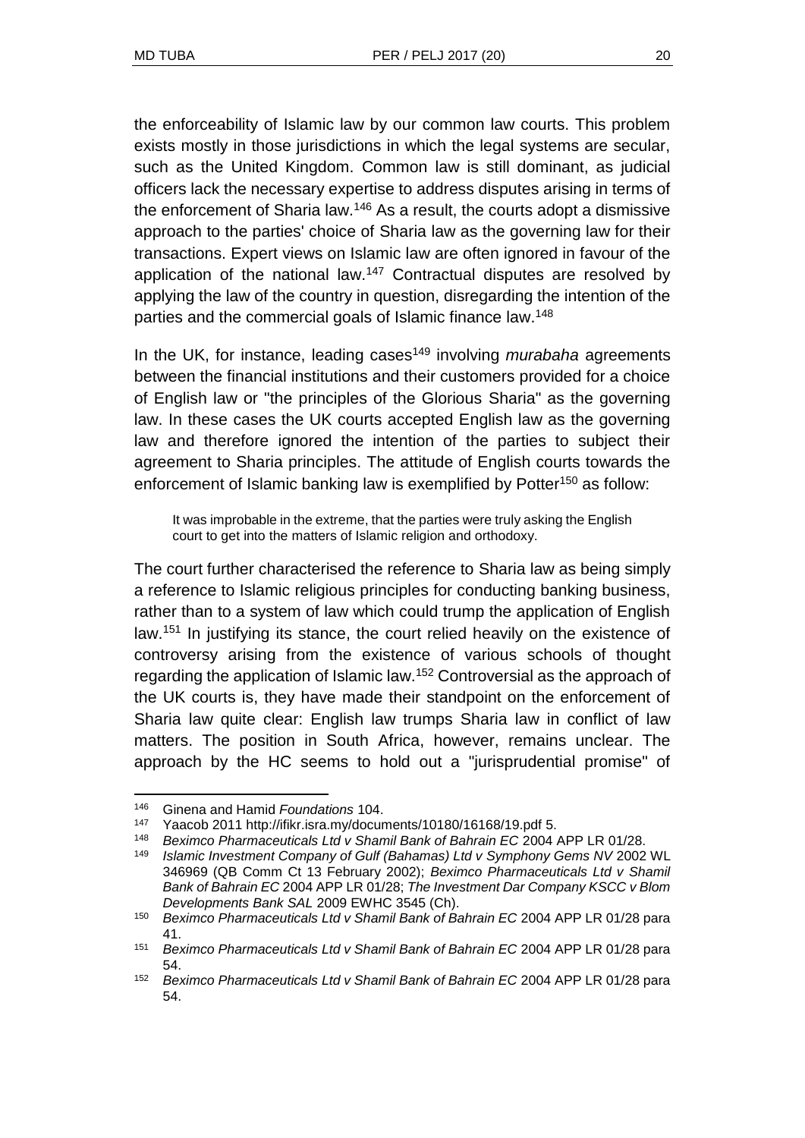the enforceability of Islamic law by our common law courts. This problem exists mostly in those jurisdictions in which the legal systems are secular, such as the United Kingdom. Common law is still dominant, as judicial officers lack the necessary expertise to address disputes arising in terms of the enforcement of Sharia law.<sup>146</sup> As a result, the courts adopt a dismissive approach to the parties' choice of Sharia law as the governing law for their transactions. Expert views on Islamic law are often ignored in favour of the application of the national law.<sup>147</sup> Contractual disputes are resolved by applying the law of the country in question, disregarding the intention of the parties and the commercial goals of Islamic finance law.<sup>148</sup>

In the UK, for instance, leading cases<sup>149</sup> involving *murabaha* agreements between the financial institutions and their customers provided for a choice of English law or "the principles of the Glorious Sharia" as the governing law. In these cases the UK courts accepted English law as the governing law and therefore ignored the intention of the parties to subject their agreement to Sharia principles. The attitude of English courts towards the enforcement of Islamic banking law is exemplified by Potter<sup>150</sup> as follow:

It was improbable in the extreme, that the parties were truly asking the English court to get into the matters of Islamic religion and orthodoxy.

The court further characterised the reference to Sharia law as being simply a reference to Islamic religious principles for conducting banking business, rather than to a system of law which could trump the application of English law.<sup>151</sup> In justifying its stance, the court relied heavily on the existence of controversy arising from the existence of various schools of thought regarding the application of Islamic law.<sup>152</sup> Controversial as the approach of the UK courts is, they have made their standpoint on the enforcement of Sharia law quite clear: English law trumps Sharia law in conflict of law matters. The position in South Africa, however, remains unclear. The approach by the HC seems to hold out a "jurisprudential promise" of

<sup>146</sup> Ginena and Hamid *Foundations* 104.

<sup>&</sup>lt;sup>147</sup> Yaacob 2011 http://ifikr.isra.my/documents/10180/16168/19.pdf 5.<br><sup>148</sup> Beximco Pharmaceuticals Ltd v Shamil Bank of Bahrain EC 2004.

<sup>148</sup> *Beximco Pharmaceuticals Ltd v Shamil Bank of Bahrain EC* 2004 APP LR 01/28.

<sup>149</sup> *Islamic Investment Company of Gulf (Bahamas) Ltd v Symphony Gems NV* 2002 WL 346969 (QB Comm Ct 13 February 2002); *Beximco Pharmaceuticals Ltd v Shamil Bank of Bahrain EC* 2004 APP LR 01/28; *The Investment Dar Company KSCC v Blom Developments Bank SAL* 2009 EWHC 3545 (Ch).

<sup>150</sup> *Beximco Pharmaceuticals Ltd v Shamil Bank of Bahrain EC* 2004 APP LR 01/28 para 41.

<sup>151</sup> *Beximco Pharmaceuticals Ltd v Shamil Bank of Bahrain EC* 2004 APP LR 01/28 para 54.

<sup>152</sup> *Beximco Pharmaceuticals Ltd v Shamil Bank of Bahrain EC* 2004 APP LR 01/28 para 54.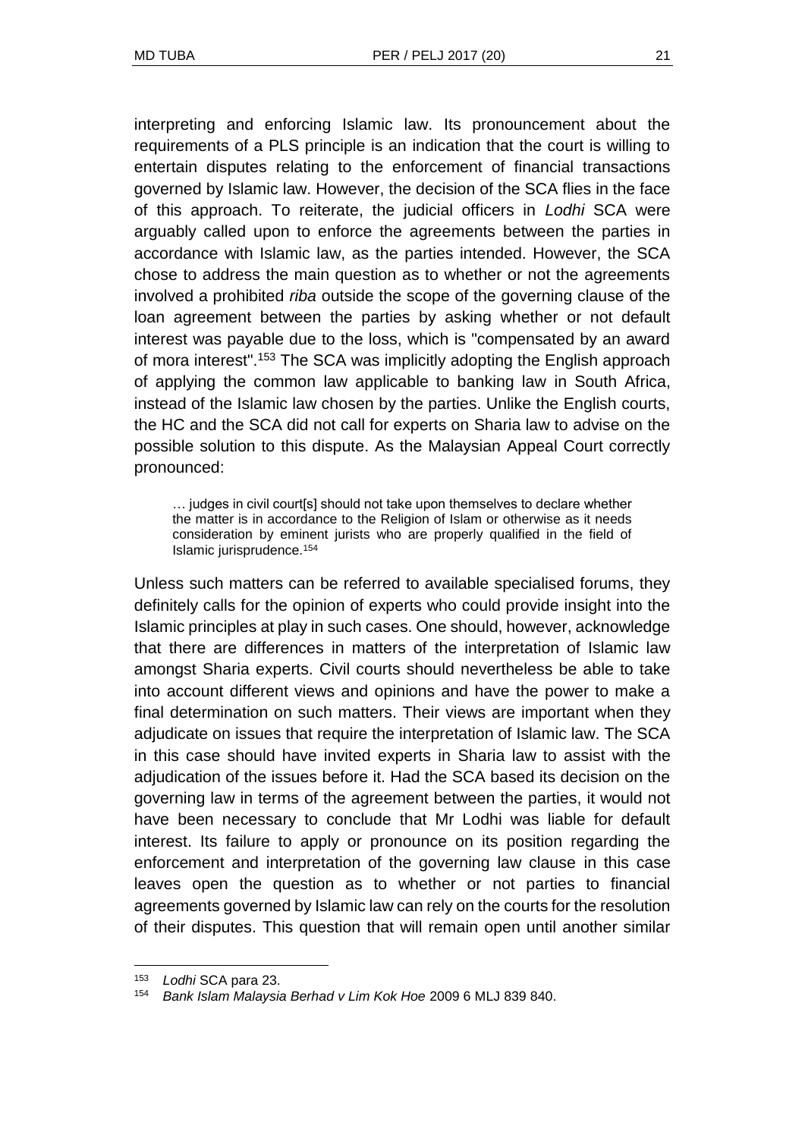interpreting and enforcing Islamic law. Its pronouncement about the requirements of a PLS principle is an indication that the court is willing to entertain disputes relating to the enforcement of financial transactions governed by Islamic law. However, the decision of the SCA flies in the face of this approach. To reiterate, the judicial officers in *Lodhi* SCA were arguably called upon to enforce the agreements between the parties in accordance with Islamic law, as the parties intended. However, the SCA chose to address the main question as to whether or not the agreements involved a prohibited *riba* outside the scope of the governing clause of the loan agreement between the parties by asking whether or not default interest was payable due to the loss, which is "compensated by an award of mora interest".<sup>153</sup> The SCA was implicitly adopting the English approach of applying the common law applicable to banking law in South Africa, instead of the Islamic law chosen by the parties. Unlike the English courts, the HC and the SCA did not call for experts on Sharia law to advise on the possible solution to this dispute. As the Malaysian Appeal Court correctly pronounced:

… judges in civil court[s] should not take upon themselves to declare whether the matter is in accordance to the Religion of Islam or otherwise as it needs consideration by eminent jurists who are properly qualified in the field of Islamic jurisprudence.<sup>154</sup>

Unless such matters can be referred to available specialised forums, they definitely calls for the opinion of experts who could provide insight into the Islamic principles at play in such cases. One should, however, acknowledge that there are differences in matters of the interpretation of Islamic law amongst Sharia experts. Civil courts should nevertheless be able to take into account different views and opinions and have the power to make a final determination on such matters. Their views are important when they adjudicate on issues that require the interpretation of Islamic law. The SCA in this case should have invited experts in Sharia law to assist with the adjudication of the issues before it. Had the SCA based its decision on the governing law in terms of the agreement between the parties, it would not have been necessary to conclude that Mr Lodhi was liable for default interest. Its failure to apply or pronounce on its position regarding the enforcement and interpretation of the governing law clause in this case leaves open the question as to whether or not parties to financial agreements governed by Islamic law can rely on the courts for the resolution of their disputes. This question that will remain open until another similar

<sup>153</sup> *Lodhi* SCA para 23.

<sup>154</sup> *Bank Islam Malaysia Berhad v Lim Kok Hoe* 2009 6 MLJ 839 840.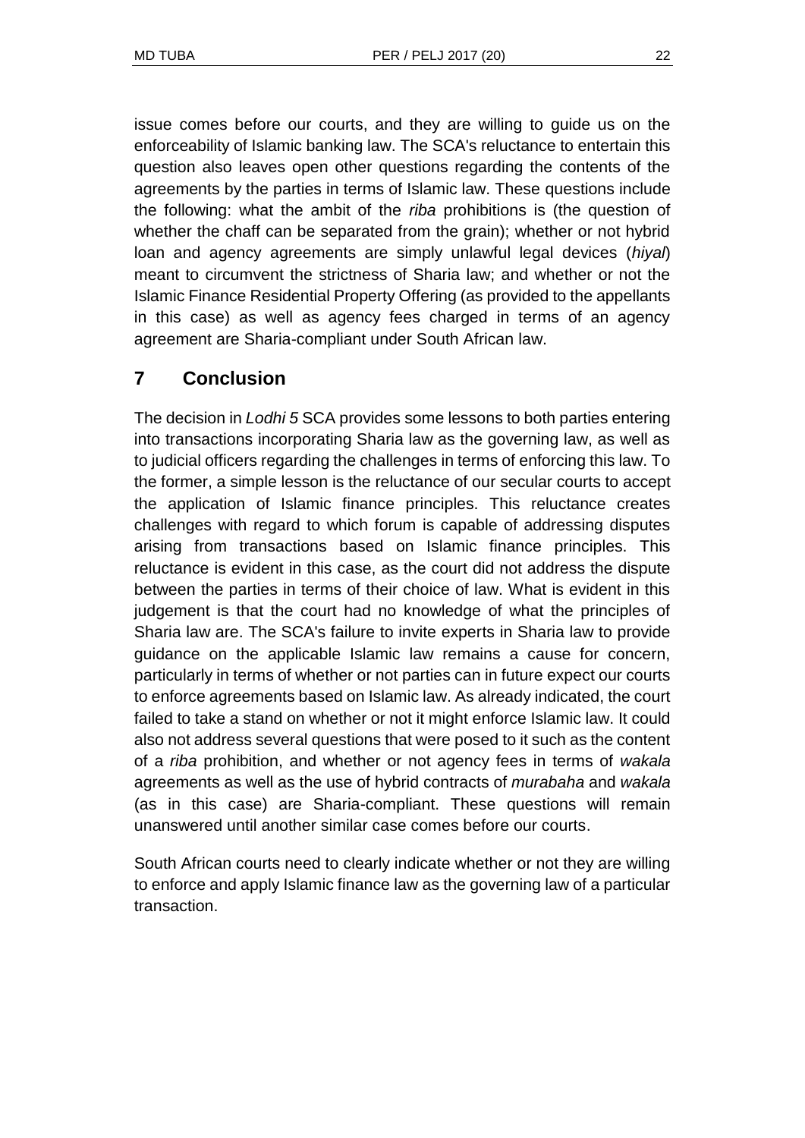issue comes before our courts, and they are willing to guide us on the enforceability of Islamic banking law. The SCA's reluctance to entertain this question also leaves open other questions regarding the contents of the agreements by the parties in terms of Islamic law. These questions include the following: what the ambit of the *riba* prohibitions is (the question of whether the chaff can be separated from the grain); whether or not hybrid loan and agency agreements are simply unlawful legal devices (*hiyal*) meant to circumvent the strictness of Sharia law; and whether or not the Islamic Finance Residential Property Offering (as provided to the appellants in this case) as well as agency fees charged in terms of an agency agreement are Sharia-compliant under South African law.

# **7 Conclusion**

The decision in *Lodhi 5* SCA provides some lessons to both parties entering into transactions incorporating Sharia law as the governing law, as well as to judicial officers regarding the challenges in terms of enforcing this law. To the former, a simple lesson is the reluctance of our secular courts to accept the application of Islamic finance principles. This reluctance creates challenges with regard to which forum is capable of addressing disputes arising from transactions based on Islamic finance principles. This reluctance is evident in this case, as the court did not address the dispute between the parties in terms of their choice of law. What is evident in this judgement is that the court had no knowledge of what the principles of Sharia law are. The SCA's failure to invite experts in Sharia law to provide guidance on the applicable Islamic law remains a cause for concern, particularly in terms of whether or not parties can in future expect our courts to enforce agreements based on Islamic law. As already indicated, the court failed to take a stand on whether or not it might enforce Islamic law. It could also not address several questions that were posed to it such as the content of a *riba* prohibition, and whether or not agency fees in terms of *wakala* agreements as well as the use of hybrid contracts of *murabaha* and *wakala* (as in this case) are Sharia-compliant. These questions will remain unanswered until another similar case comes before our courts.

South African courts need to clearly indicate whether or not they are willing to enforce and apply Islamic finance law as the governing law of a particular transaction.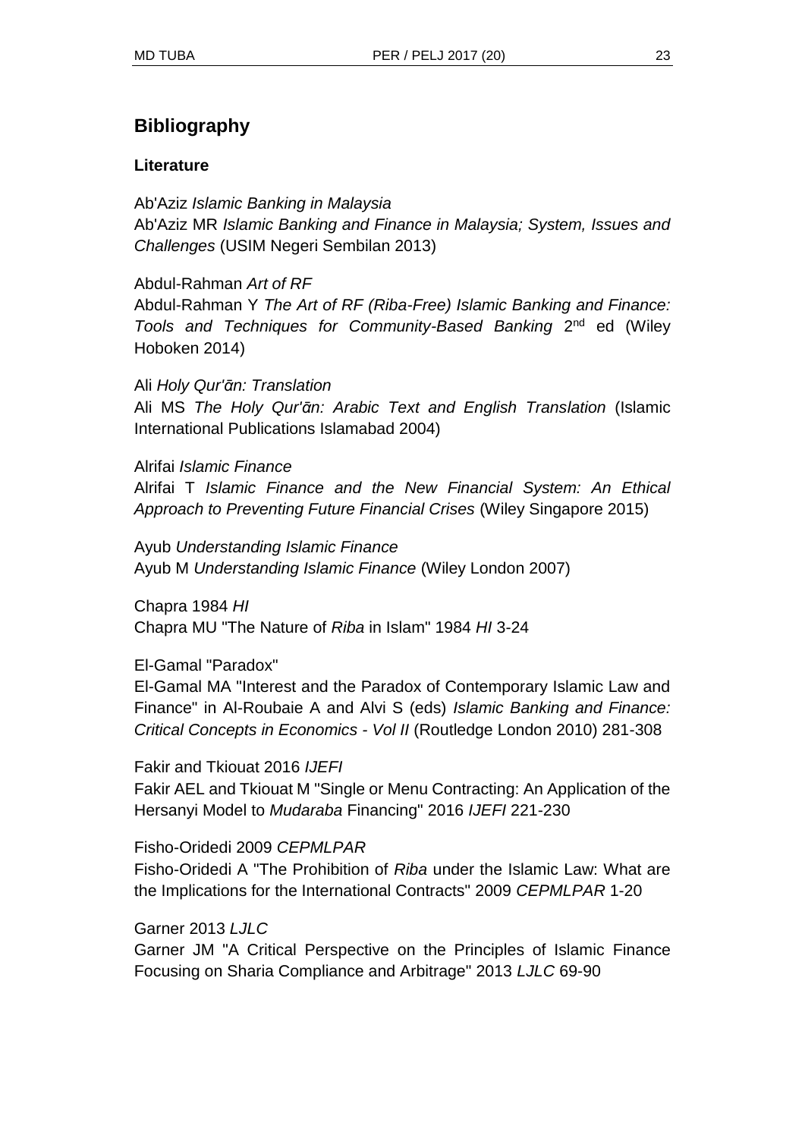## **Bibliography**

#### **Literature**

Ab'Aziz *Islamic Banking in Malaysia* Ab'Aziz MR *Islamic Banking and Finance in Malaysia; System, Issues and Challenges* (USIM Negeri Sembilan 2013)

Abdul-Rahman *Art of RF* Abdul-Rahman Y *The Art of RF (Riba-Free) Islamic Banking and Finance:*  Tools and Techniques for Community-Based Banking 2<sup>nd</sup> ed (Wiley Hoboken 2014)

Ali *Holy Qur'ᾱn: Translation* Ali MS *The Holy Qur'ᾱn: Arabic Text and English Translation* (Islamic International Publications Islamabad 2004)

Alrifai *Islamic Finance* Alrifai T *Islamic Finance and the New Financial System: An Ethical Approach to Preventing Future Financial Crises* (Wiley Singapore 2015)

Ayub *Understanding Islamic Finance* Ayub M *Understanding Islamic Finance* (Wiley London 2007)

Chapra 1984 *HI* Chapra MU "The Nature of *Riba* in Islam" 1984 *HI* 3-24

El-Gamal "Paradox"

El-Gamal MA "Interest and the Paradox of Contemporary Islamic Law and Finance" in Al-Roubaie A and Alvi S (eds) *Islamic Banking and Finance: Critical Concepts in Economics - Vol II* (Routledge London 2010) 281-308

Fakir and Tkiouat 2016 *IJEFI*

Fakir AEL and Tkiouat M "Single or Menu Contracting: An Application of the Hersanyi Model to *Mudaraba* Financing" 2016 *IJEFI* 221-230

Fisho-Oridedi 2009 *CEPMLPAR* Fisho-Oridedi A "The Prohibition of *Riba* under the Islamic Law: What are the Implications for the International Contracts" 2009 *CEPMLPAR* 1-20

Garner 2013 *LJLC*

Garner JM "A Critical Perspective on the Principles of Islamic Finance Focusing on Sharia Compliance and Arbitrage" 2013 *LJLC* 69-90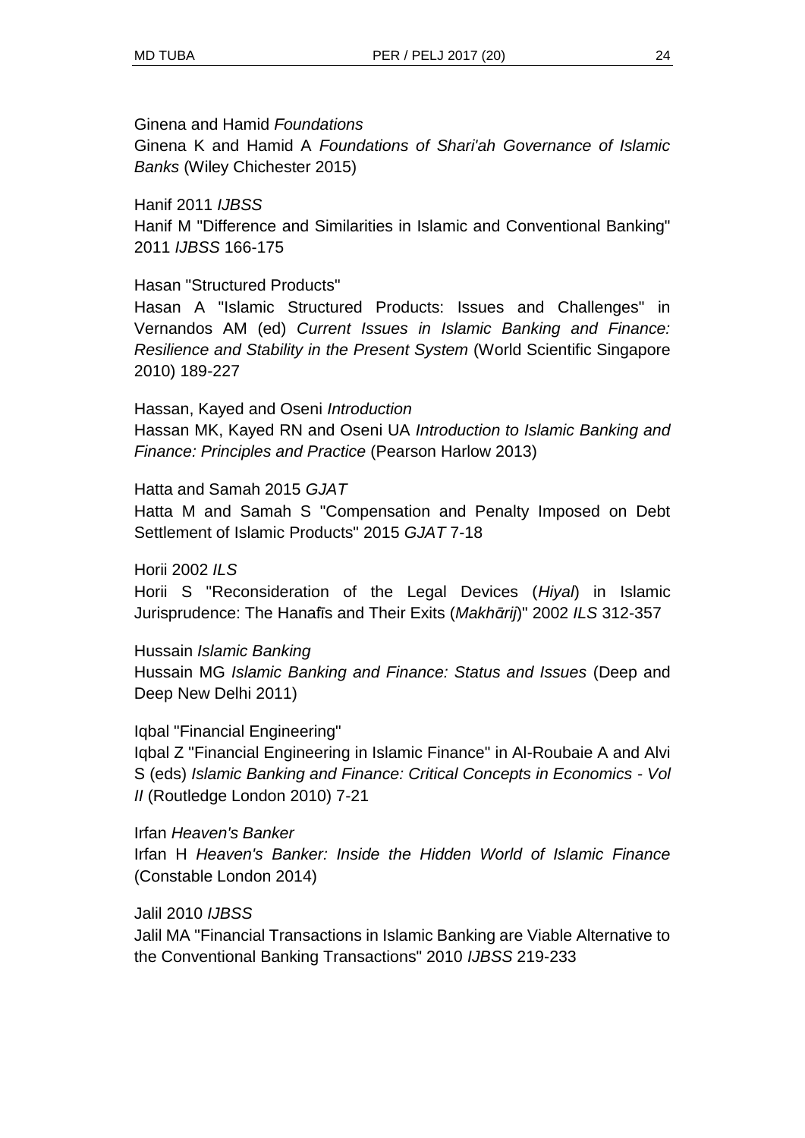Ginena and Hamid *Foundations*

Ginena K and Hamid A *Foundations of Shari'ah Governance of Islamic Banks* (Wiley Chichester 2015)

Hanif 2011 *IJBSS* Hanif M "Difference and Similarities in Islamic and Conventional Banking" 2011 *IJBSS* 166-175

Hasan "Structured Products"

Hasan A "Islamic Structured Products: Issues and Challenges" in Vernandos AM (ed) *Current Issues in Islamic Banking and Finance: Resilience and Stability in the Present System* (World Scientific Singapore 2010) 189-227

Hassan, Kayed and Oseni *Introduction* Hassan MK, Kayed RN and Oseni UA *Introduction to Islamic Banking and Finance: Principles and Practice* (Pearson Harlow 2013)

Hatta and Samah 2015 *GJAT*

Hatta M and Samah S "Compensation and Penalty Imposed on Debt Settlement of Islamic Products" 2015 *GJAT* 7-18

Horii 2002 *ILS*

Horii S "Reconsideration of the Legal Devices (*Hiyal*) in Islamic Jurisprudence: The Hanafīs and Their Exits (Makhārij)" 2002 ILS 312-357

Hussain *Islamic Banking* Hussain MG *Islamic Banking and Finance: Status and Issues* (Deep and Deep New Delhi 2011)

Iqbal "Financial Engineering"

Iqbal Z "Financial Engineering in Islamic Finance" in Al-Roubaie A and Alvi S (eds) *Islamic Banking and Finance: Critical Concepts in Economics - Vol II* (Routledge London 2010) 7-21

Irfan *Heaven's Banker* Irfan H *Heaven's Banker: Inside the Hidden World of Islamic Finance* (Constable London 2014)

Jalil 2010 *IJBSS*

Jalil MA "Financial Transactions in Islamic Banking are Viable Alternative to the Conventional Banking Transactions" 2010 *IJBSS* 219-233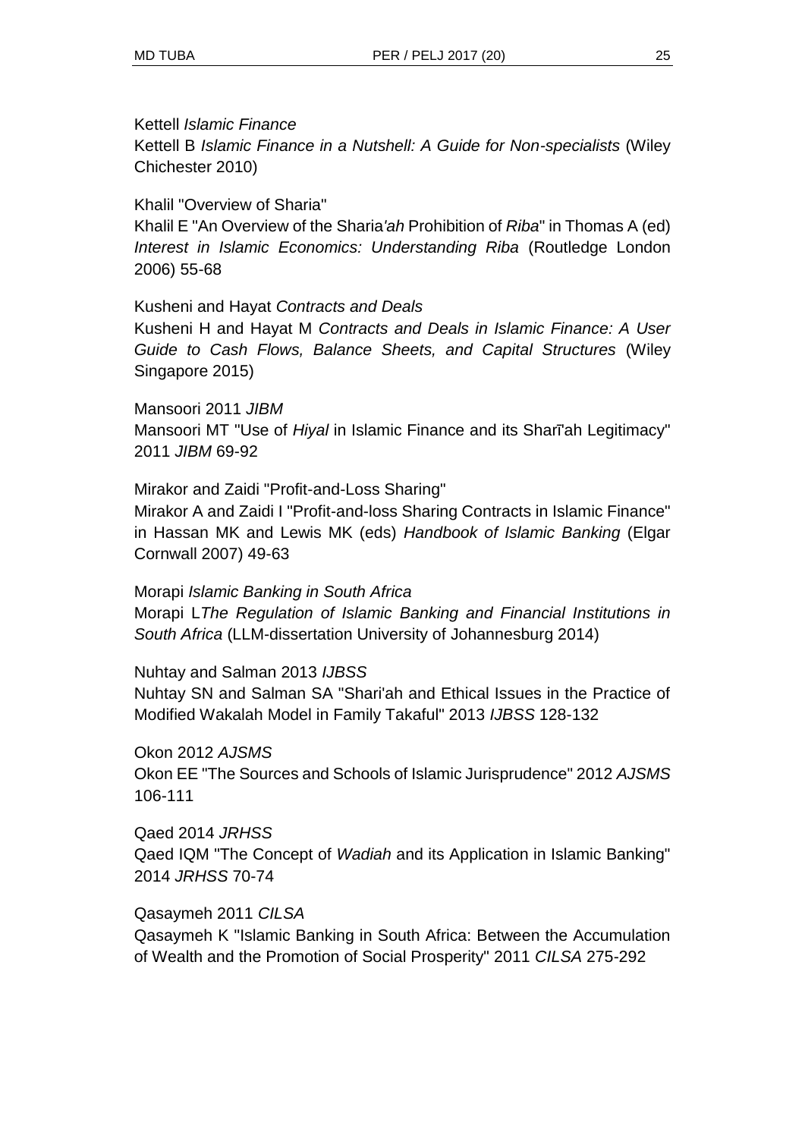#### Kettell *Islamic Finance*

Kettell B *Islamic Finance in a Nutshell: A Guide for Non-specialists* (Wiley Chichester 2010)

Khalil "Overview of Sharia"

Khalil E "An Overview of the Sharia*'ah* Prohibition of *Riba*" in Thomas A (ed) *Interest in Islamic Economics: Understanding Riba* (Routledge London 2006) 55-68

Kusheni and Hayat *Contracts and Deals*

Kusheni H and Hayat M *Contracts and Deals in Islamic Finance: A User Guide to Cash Flows, Balance Sheets, and Capital Structures* (Wiley Singapore 2015)

Mansoori 2011 *JIBM* Mansoori MT "Use of *Hiyal* in Islamic Finance and its Shari'ah Legitimacy" 2011 *JIBM* 69-92

Mirakor and Zaidi "Profit-and-Loss Sharing" Mirakor A and Zaidi I "Profit-and-loss Sharing Contracts in Islamic Finance" in Hassan MK and Lewis MK (eds) *Handbook of Islamic Banking* (Elgar Cornwall 2007) 49-63

Morapi *Islamic Banking in South Africa* Morapi L*The Regulation of Islamic Banking and Financial Institutions in South Africa* (LLM-dissertation University of Johannesburg 2014)

Nuhtay and Salman 2013 *IJBSS*

Nuhtay SN and Salman SA "Shari'ah and Ethical Issues in the Practice of Modified Wakalah Model in Family Takaful" 2013 *IJBSS* 128-132

Okon 2012 *AJSMS* Okon EE "The Sources and Schools of Islamic Jurisprudence" 2012 *AJSMS* 106-111

Qaed 2014 *JRHSS* Qaed IQM "The Concept of *Wadiah* and its Application in Islamic Banking" 2014 *JRHSS* 70-74

Qasaymeh 2011 *CILSA*

Qasaymeh K "Islamic Banking in South Africa: Between the Accumulation of Wealth and the Promotion of Social Prosperity" 2011 *CILSA* 275-292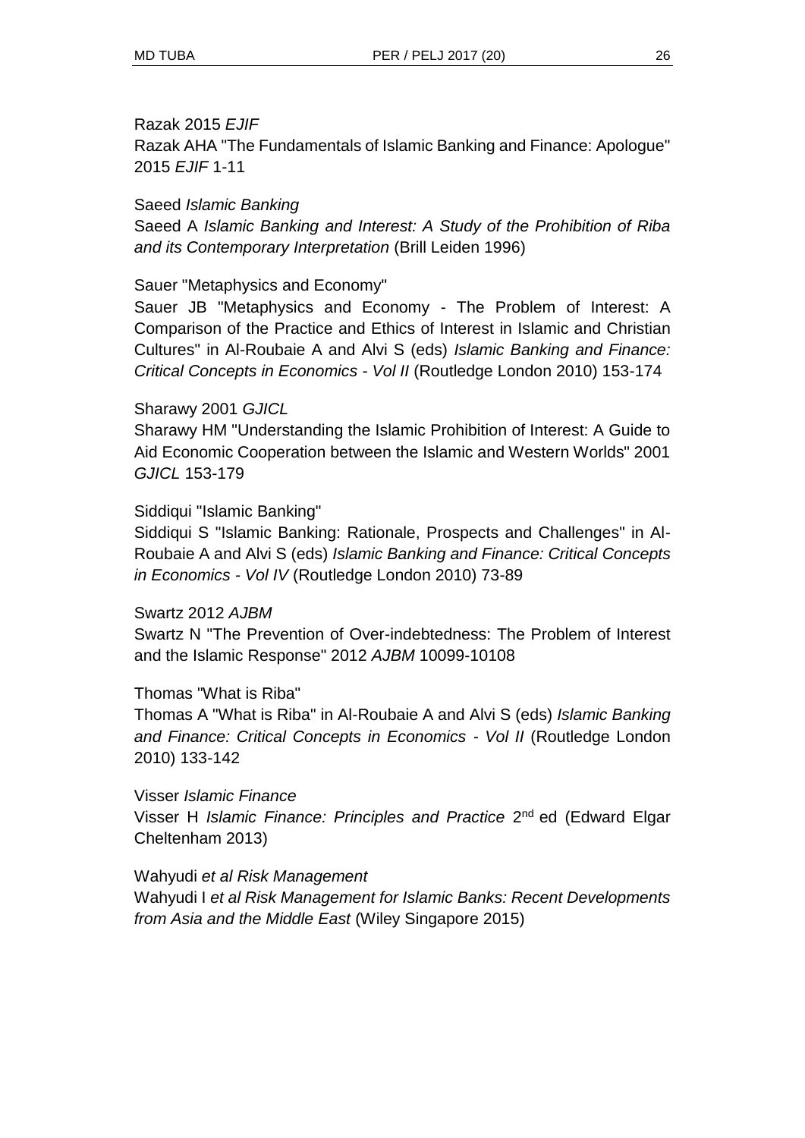#### Razak 2015 *EJIF*

Razak AHA "The Fundamentals of Islamic Banking and Finance: Apologue" 2015 *EJIF* 1-11

#### Saeed *Islamic Banking*

Saeed A *Islamic Banking and Interest: A Study of the Prohibition of Riba and its Contemporary Interpretation* (Brill Leiden 1996)

#### Sauer "Metaphysics and Economy"

Sauer JB "Metaphysics and Economy - The Problem of Interest: A Comparison of the Practice and Ethics of Interest in Islamic and Christian Cultures" in Al-Roubaie A and Alvi S (eds) *Islamic Banking and Finance: Critical Concepts in Economics - Vol II* (Routledge London 2010) 153-174

#### Sharawy 2001 *GJICL*

Sharawy HM "Understanding the Islamic Prohibition of Interest: A Guide to Aid Economic Cooperation between the Islamic and Western Worlds" 2001 *GJICL* 153-179

#### Siddiqui "Islamic Banking"

Siddiqui S "Islamic Banking: Rationale, Prospects and Challenges" in Al-Roubaie A and Alvi S (eds) *Islamic Banking and Finance: Critical Concepts in Economics - Vol IV* (Routledge London 2010) 73-89

#### Swartz 2012 *AJBM*

Swartz N "The Prevention of Over-indebtedness: The Problem of Interest and the Islamic Response" 2012 *AJBM* 10099-10108

#### Thomas "What is Riba"

Thomas A "What is Riba" in Al-Roubaie A and Alvi S (eds) *Islamic Banking and Finance: Critical Concepts in Economics - Vol II* (Routledge London 2010) 133-142

Visser *Islamic Finance* Visser H *Islamic Finance: Principles and Practice* 2<sup>nd</sup> ed (Edward Elgar Cheltenham 2013)

#### Wahyudi *et al Risk Management*

Wahyudi I *et al Risk Management for Islamic Banks: Recent Developments from Asia and the Middle East* (Wiley Singapore 2015)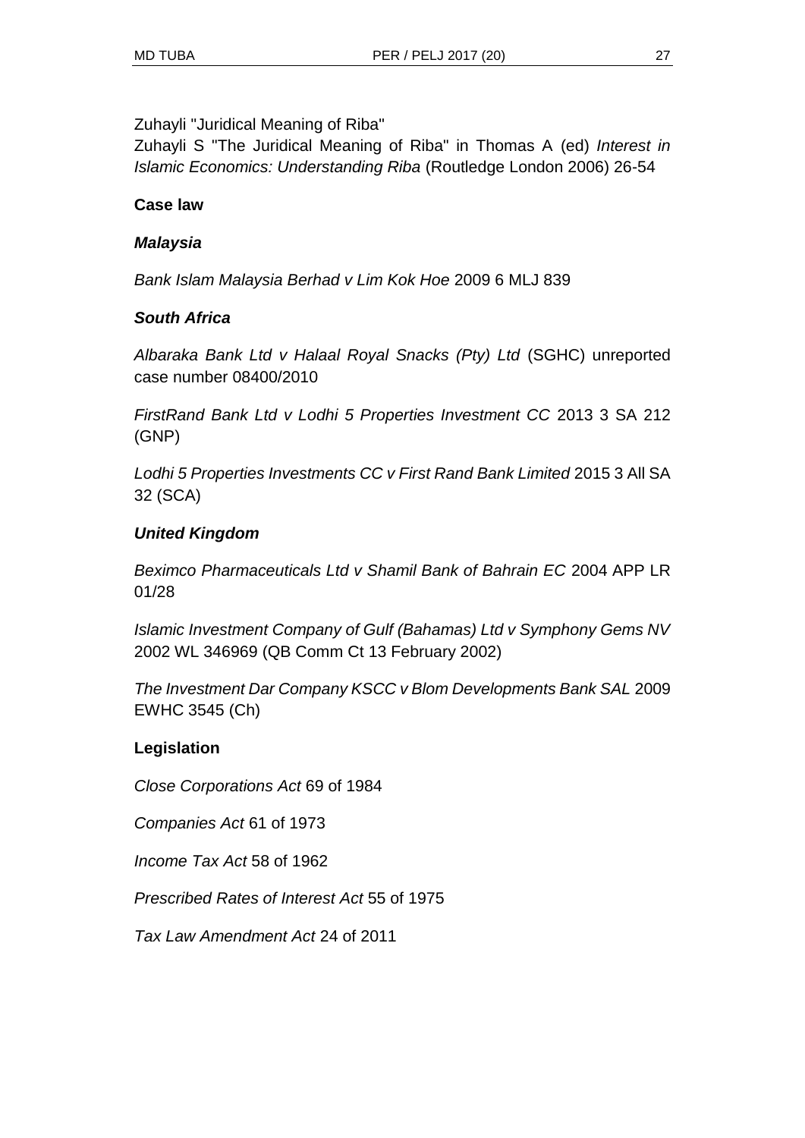Zuhayli "Juridical Meaning of Riba"

Zuhayli S "The Juridical Meaning of Riba" in Thomas A (ed) *Interest in Islamic Economics: Understanding Riba* (Routledge London 2006) 26-54

### **Case law**

### *Malaysia*

*Bank Islam Malaysia Berhad v Lim Kok Hoe* 2009 6 MLJ 839

### *South Africa*

*Albaraka Bank Ltd v Halaal Royal Snacks (Pty) Ltd* (SGHC) unreported case number 08400/2010

*FirstRand Bank Ltd v Lodhi 5 Properties Investment CC* 2013 3 SA 212 (GNP)

*Lodhi 5 Properties Investments CC v First Rand Bank Limited* 2015 3 All SA 32 (SCA)

### *United Kingdom*

*Beximco Pharmaceuticals Ltd v Shamil Bank of Bahrain EC* 2004 APP LR 01/28

*Islamic Investment Company of Gulf (Bahamas) Ltd v Symphony Gems NV* 2002 WL 346969 (QB Comm Ct 13 February 2002)

*The Investment Dar Company KSCC v Blom Developments Bank SAL* 2009 EWHC 3545 (Ch)

### **Legislation**

*Close Corporations Act* 69 of 1984

*Companies Act* 61 of 1973

*Income Tax Act* 58 of 1962

*Prescribed Rates of Interest Act* 55 of 1975

*Tax Law Amendment Act* 24 of 2011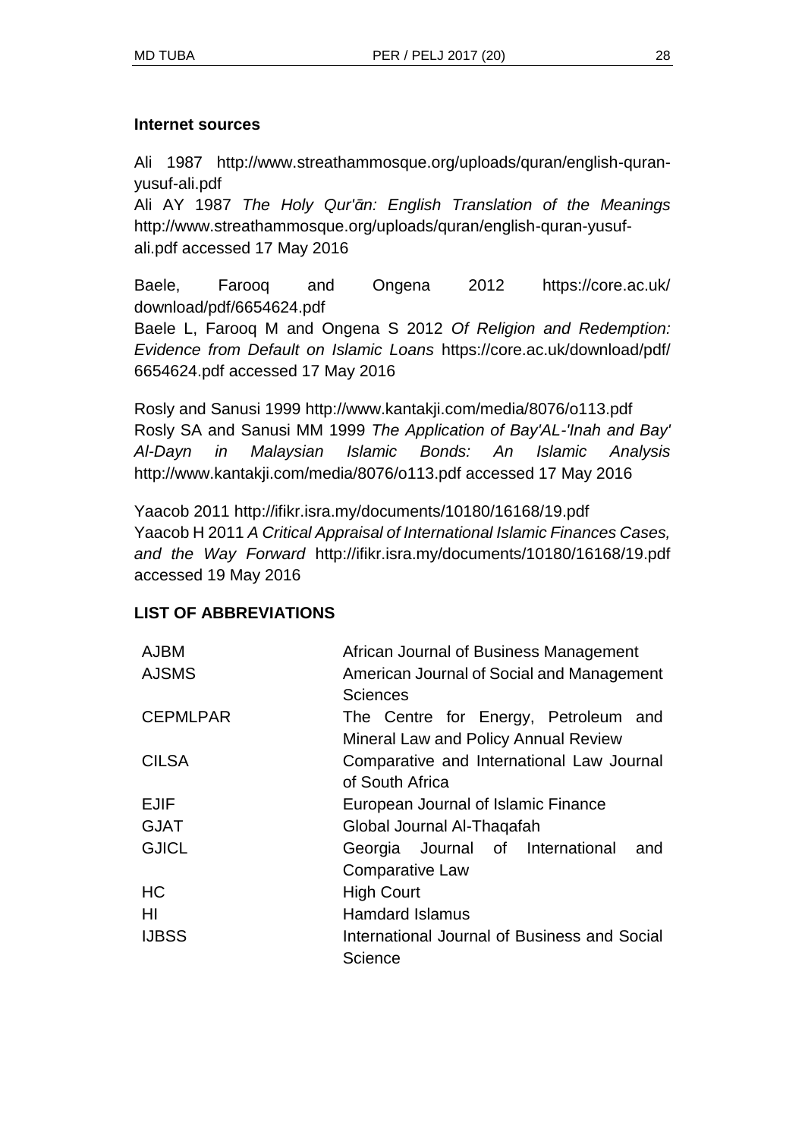#### **Internet sources**

Ali 1987 http://www.streathammosque.org/uploads/quran/english-quranyusuf-ali.pdf

Ali AY 1987 *The Holy Qur'ᾱn: English Translation of the Meanings* http://www.streathammosque.org/uploads/quran/english-quran-yusufali.pdf accessed 17 May 2016

Baele, Farooq and Ongena 2012 https://core.ac.uk/ download/pdf/6654624.pdf

Baele L, Farooq M and Ongena S 2012 *Of Religion and Redemption: Evidence from Default on Islamic Loans* https://core.ac.uk/download/pdf/ 6654624.pdf accessed 17 May 2016

Rosly and Sanusi 1999 http://www.kantakji.com/media/8076/o113.pdf Rosly SA and Sanusi MM 1999 *The Application of Bay'AL-'Inah and Bay' Al-Dayn in Malaysian Islamic Bonds: An Islamic Analysis* http://www.kantakji.com/media/8076/o113.pdf accessed 17 May 2016

Yaacob 2011 http://ifikr.isra.my/documents/10180/16168/19.pdf Yaacob H 2011 *A Critical Appraisal of International Islamic Finances Cases, and the Way Forward* http://ifikr.isra.my/documents/10180/16168/19.pdf accessed 19 May 2016

#### **LIST OF ABBREVIATIONS**

| <b>AJBM</b>     | African Journal of Business Management                                       |
|-----------------|------------------------------------------------------------------------------|
| <b>AJSMS</b>    | American Journal of Social and Management<br><b>Sciences</b>                 |
| <b>CEPMLPAR</b> | The Centre for Energy, Petroleum and<br>Mineral Law and Policy Annual Review |
| <b>CILSA</b>    | Comparative and International Law Journal<br>of South Africa                 |
| <b>EJIF</b>     | European Journal of Islamic Finance                                          |
| <b>GJAT</b>     | Global Journal Al-Thagafah                                                   |
| <b>GJICL</b>    | Georgia Journal of International<br>and<br>Comparative Law                   |
| <b>HC</b>       | <b>High Court</b>                                                            |
| HI              | <b>Hamdard Islamus</b>                                                       |
| <b>IJBSS</b>    | International Journal of Business and Social<br>Science                      |